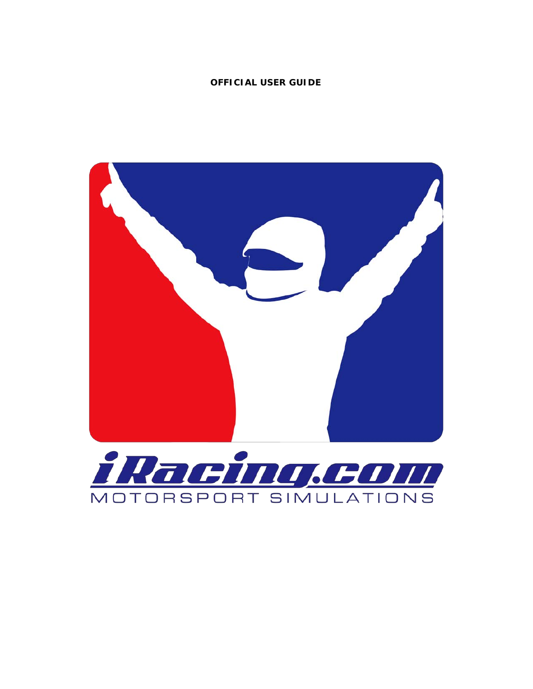## **OFFICIAL USER GUIDE**

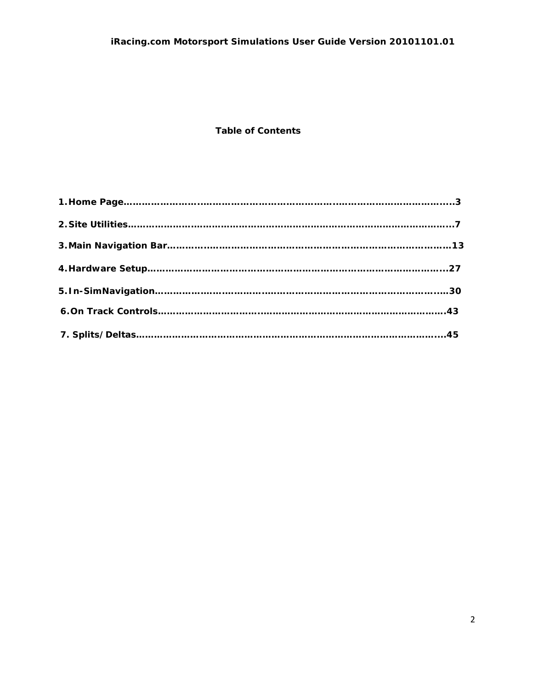# *iRacing.com Motorsport Simulations User Guide Version 20101101.01*

# **Table of Contents**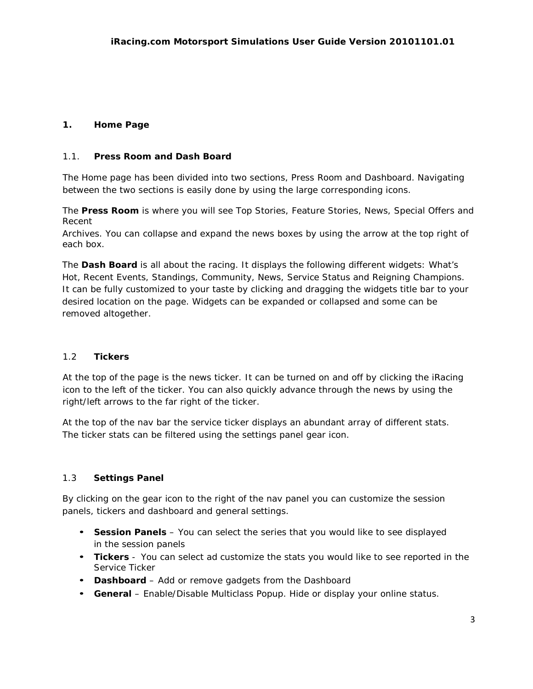# **1. Home Page**

## 1.1. **Press Room and Dash Board**

The Home page has been divided into two sections, Press Room and Dashboard. Navigating between the two sections is easily done by using the large corresponding icons.

The **Press Room** is where you will see Top Stories, Feature Stories, News, Special Offers and Recent

Archives. You can collapse and expand the news boxes by using the arrow at the top right of each box.

The **Dash Board** is all about the racing. It displays the following different widgets: What's Hot, Recent Events, Standings, Community, News, Service Status and Reigning Champions. It can be fully customized to your taste by clicking and dragging the widgets title bar to your desired location on the page. Widgets can be expanded or collapsed and some can be removed altogether.

## 1.2 **Tickers**

At the top of the page is the news ticker. It can be turned on and off by clicking the iRacing icon to the left of the ticker. You can also quickly advance through the news by using the right/left arrows to the far right of the ticker.

At the top of the nav bar the service ticker displays an abundant array of different stats. The ticker stats can be filtered using the settings panel gear icon.

## 1.3 **Settings Panel**

By clicking on the gear icon to the right of the nav panel you can customize the session panels, tickers and dashboard and general settings.

- **Session Panels** You can select the series that you would like to see displayed in the session panels
- **Tickers** You can select ad customize the stats you would like to see reported in the Service Ticker
- **Dashboard**  Add or remove gadgets from the Dashboard
- **General** Enable/Disable Multiclass Popup. Hide or display your online status.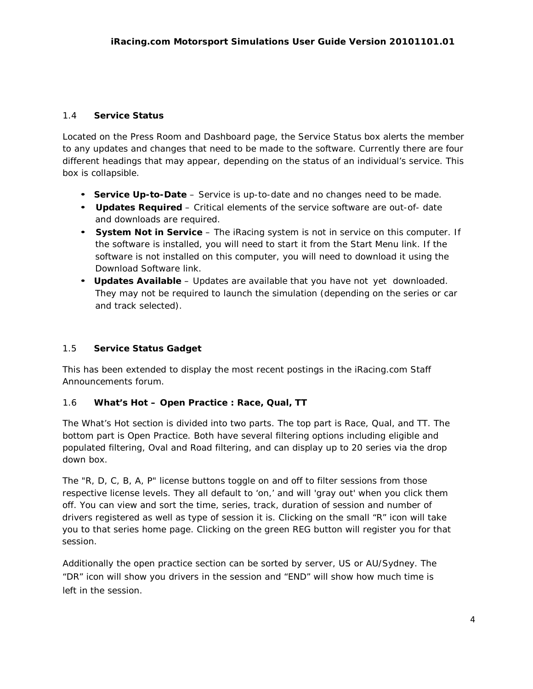## 1.4 **Service Status**

Located on the Press Room and Dashboard page, the Service Status box alerts the member to any updates and changes that need to be made to the software. Currently there are four different headings that may appear, depending on the status of an individual's service. This box is collapsible.

- **Service Up-to-Date**  Service is up-to-date and no changes need to be made.
- **Updates Required** Critical elements of the service software are out-of- date and downloads are required.
- **System Not in Service**  The iRacing system is not in service on this computer. If the software is installed, you will need to start it from the Start Menu link. If the software is not installed on this computer, you will need to download it using the Download Software link.
- **Updates Available** Updates are available that you have not yet downloaded. They may not be required to launch the simulation (depending on the series or car and track selected).

## 1.5 **Service Status Gadget**

This has been extended to display the most recent postings in the iRacing.com Staff Announcements forum.

# 1.6 **What's Hot – Open Practice : Race, Qual, TT**

The What's Hot section is divided into two parts. The top part is Race, Qual, and TT. The bottom part is Open Practice. Both have several filtering options including eligible and populated filtering, Oval and Road filtering, and can display up to 20 series via the drop down box.

The "R, D, C, B, A, P" license buttons toggle on and off to filter sessions from those respective license levels. They all default to 'on,' and will 'gray out' when you click them off. You can view and sort the time, series, track, duration of session and number of drivers registered as well as type of session it is. Clicking on the small "R" icon will take you to that series home page. Clicking on the green REG button will register you for that session.

Additionally the open practice section can be sorted by server, US or AU/Sydney. The "DR" icon will show you drivers in the session and "END" will show how much time is left in the session.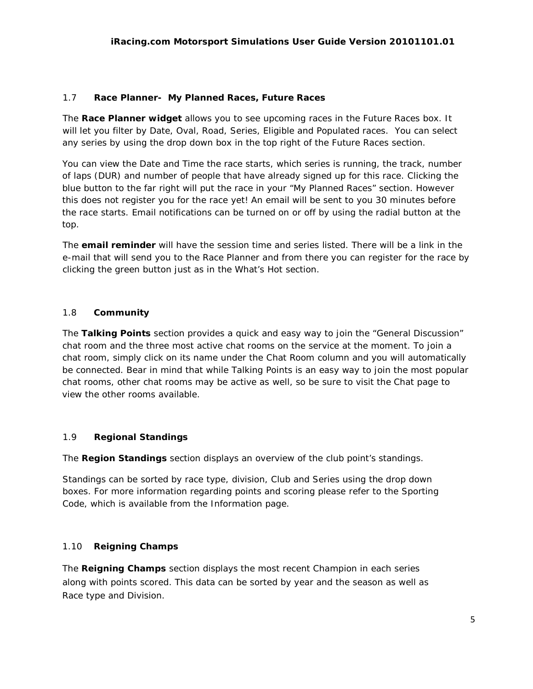## 1.7 **Race Planner- My Planned Races, Future Races**

The **Race Planner widget** allows you to see upcoming races in the Future Races box. It will let you filter by Date, Oval, Road, Series, Eligible and Populated races. You can select any series by using the drop down box in the top right of the Future Races section.

You can view the Date and Time the race starts, which series is running, the track, number of laps (DUR) and number of people that have already signed up for this race. Clicking the blue button to the far right will put the race in your "My Planned Races" section. However this does not register you for the race yet! An email will be sent to you 30 minutes before the race starts. Email notifications can be turned on or off by using the radial button at the top.

The **email reminder** will have the session time and series listed. There will be a link in the e-mail that will send you to the Race Planner and from there you can register for the race by clicking the green button just as in the What's Hot section.

## 1.8 **Community**

The **Talking Points** section provides a quick and easy way to join the "General Discussion" chat room and the three most active chat rooms on the service at the moment. To join a chat room, simply click on its name under the Chat Room column and you will automatically be connected. Bear in mind that while Talking Points is an easy way to join the most popular chat rooms, other chat rooms may be active as well, so be sure to visit the Chat page to view the other rooms available.

## 1.9 **Regional Standings**

The **Region Standings** section displays an overview of the club point's standings.

Standings can be sorted by race type, division, Club and Series using the drop down boxes. For more information regarding points and scoring please refer to the Sporting Code, which is available from the Information page.

## 1.10 **Reigning Champs**

The **Reigning Champs** section displays the most recent Champion in each series along with points scored. This data can be sorted by year and the season as well as Race type and Division.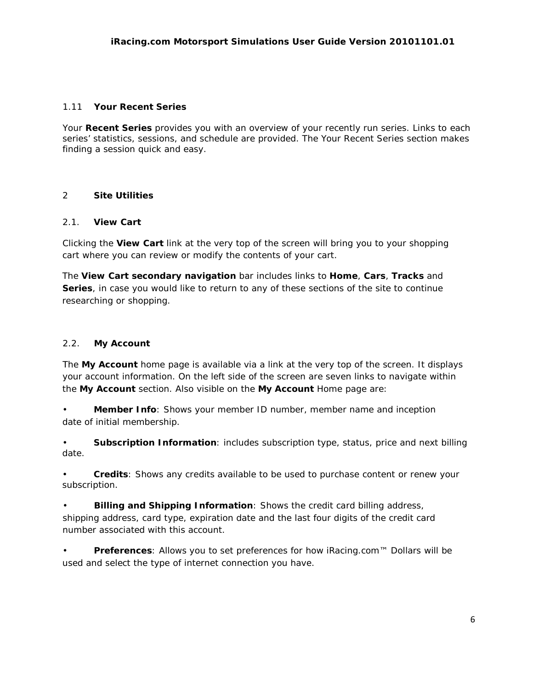## 1.11 **Your Recent Series**

Your **Recent Series** provides you with an overview of your recently run series. Links to each series' statistics, sessions, and schedule are provided. The Your Recent Series section makes finding a session quick and easy.

## 2 **Site Utilities**

## 2.1. **View Cart**

Clicking the **View Cart** link at the very top of the screen will bring you to your shopping cart where you can review or modify the contents of your cart.

The **View Cart secondary navigation** bar includes links to **Home**, **Cars**, **Tracks** and **Series**, in case you would like to return to any of these sections of the site to continue researching or shopping.

## 2.2. **My Account**

The **My Account** home page is available via a link at the very top of the screen. It displays your account information. On the left side of the screen are seven links to navigate within the **My Account** section. Also visible on the **My Account** Home page are:

• **Member Info**: Shows your member ID number, member name and inception date of initial membership.

• **Subscription Information**: includes subscription type, status, price and next billing date.

• **Credits**: Shows any credits available to be used to purchase content or renew your subscription.

• **Billing and Shipping Information**: Shows the credit card billing address, shipping address, card type, expiration date and the last four digits of the credit card number associated with this account.

• **Preferences**: Allows you to set preferences for how iRacing.com™ Dollars will be used and select the type of internet connection you have.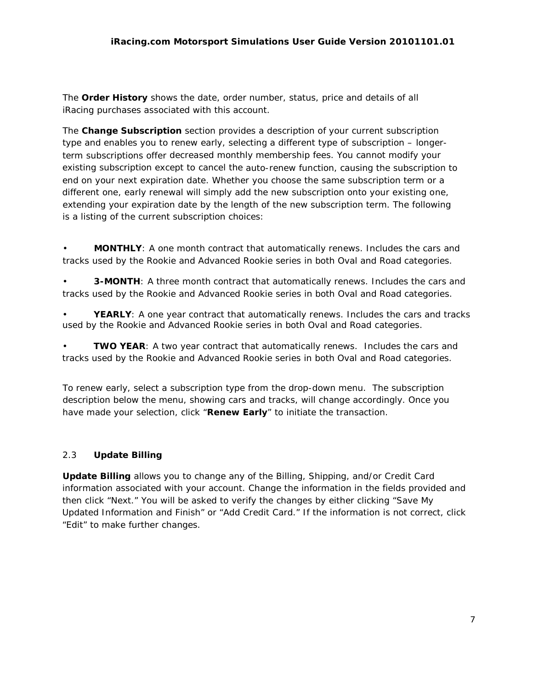The **Order History** shows the date, order number, status, price and details of all iRacing purchases associated with this account.

The **Change Subscription** section provides a description of your current subscription type and enables you to renew early, selecting a different type of subscription – longerterm subscriptions offer decreased monthly membership fees. You cannot modify your existing subscription except to cancel the auto-renew function, causing the subscription to end on your next expiration date. Whether you choose the same subscription term or a different one, early renewal will simply add the new subscription onto your existing one, extending your expiration date by the length of the new subscription term. The following is a listing of the current subscription choices:

• **MONTHLY**: A one month contract that automatically renews. Includes the cars and tracks used by the Rookie and Advanced Rookie series in both Oval and Road categories.

• **3-MONTH**: A three month contract that automatically renews. Includes the cars and tracks used by the Rookie and Advanced Rookie series in both Oval and Road categories.

YEARLY: A one year contract that automatically renews. Includes the cars and tracks used by the Rookie and Advanced Rookie series in both Oval and Road categories.

**TWO YEAR:** A two year contract that automatically renews. Includes the cars and tracks used by the Rookie and Advanced Rookie series in both Oval and Road categories.

To renew early, select a subscription type from the drop-down menu. The subscription description below the menu, showing cars and tracks, will change accordingly. Once you have made your selection, click "**Renew Early**" to initiate the transaction.

# 2.3 **Update Billing**

**Update Billing** allows you to change any of the Billing, Shipping, and/or Credit Card information associated with your account. Change the information in the fields provided and then click "Next." You will be asked to verify the changes by either clicking "Save My Updated Information and Finish" or "Add Credit Card." If the information is not correct, click "Edit" to make further changes.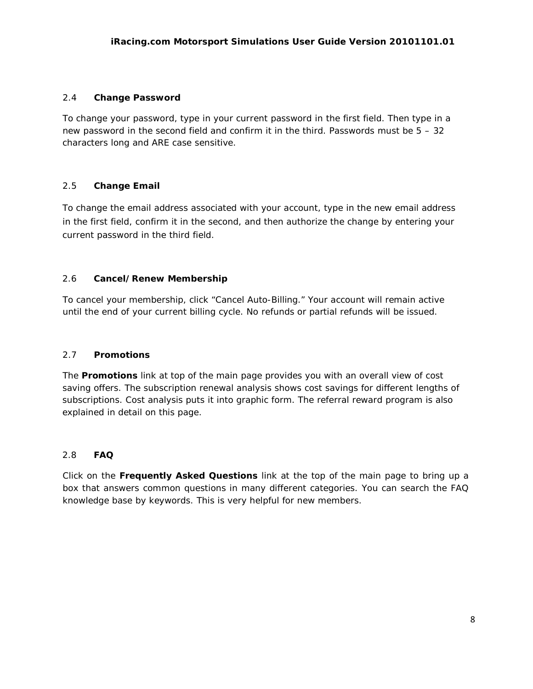## 2.4 **Change Password**

To change your password, type in your current password in the first field. Then type in a new password in the second field and confirm it in the third. Passwords must be 5 – 32 characters long and ARE case sensitive.

## 2.5 **Change Email**

To change the email address associated with your account, type in the new email address in the first field, confirm it in the second, and then authorize the change by entering your current password in the third field.

## 2.6 **Cancel/Renew Membership**

To cancel your membership, click "Cancel Auto-Billing." Your account will remain active until the end of your current billing cycle. No refunds or partial refunds will be issued.

# 2.7 **Promotions**

The **Promotions** link at top of the main page provides you with an overall view of cost saving offers. The subscription renewal analysis shows cost savings for different lengths of subscriptions. Cost analysis puts it into graphic form. The referral reward program is also explained in detail on this page.

## 2.8 **FAQ**

Click on the **Frequently Asked Questions** link at the top of the main page to bring up a box that answers common questions in many different categories. You can search the FAQ knowledge base by keywords. This is very helpful for new members.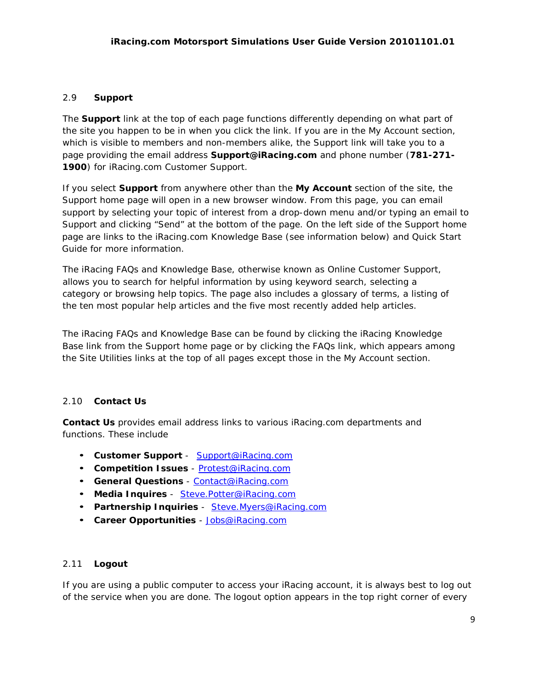## 2.9 **Support**

The **Support** link at the top of each page functions differently depending on what part of the site you happen to be in when you click the link. If you are in the My Account section, which is visible to members and non-members alike, the Support link will take you to a page providing the email address **[Support@iRacing.com](mailto:Support@iRacing.com)** and phone number (**781-271- 1900**) for iRacing.com Customer Support.

If you select **Support** from anywhere other than the **My Account** section of the site, the Support home page will open in a new browser window. From this page, you can email support by selecting your topic of interest from a drop-down menu and/or typing an email to Support and clicking "Send" at the bottom of the page. On the left side of the Support home page are links to the iRacing.com Knowledge Base (see information below) and Quick Start Guide for more information.

The iRacing FAQs and Knowledge Base, otherwise known as Online Customer Support, allows you to search for helpful information by using keyword search, selecting a category or browsing help topics. The page also includes a glossary of terms, a listing of the ten most popular help articles and the five most recently added help articles.

The iRacing FAQs and Knowledge Base can be found by clicking the iRacing Knowledge Base link from the Support home page or by clicking the FAQs link, which appears among the Site Utilities links at the top of all pages except those in the My Account section.

## 2.10 **Contact Us**

**Contact Us** provides email address links to various iRacing.com departments and functions. These include

- **Customer Support**  [Support@iRacing.com](mailto:Support@iRacing.com)
- **Competition Issues** [Protest@iRacing.com](mailto:Protest@iRacing.com)
- **General Questions** [Contact@iRacing.com](mailto:Contact@iRacing.com)
- **Media Inquires** Stev[e.Potter@iRacing.com](mailto:Potter@iRacing.com)
- **Partnership Inquiries** Stev[e.Myers@iRacing.com](mailto:Myers@iRacing.com)
- **Career Opportunities** [Jobs@iRacing.com](mailto:Jobs@iRacing.com)

## 2.11 **Logout**

If you are using a public computer to access your iRacing account, it is always best to log out of the service when you are done. The logout option appears in the top right corner of every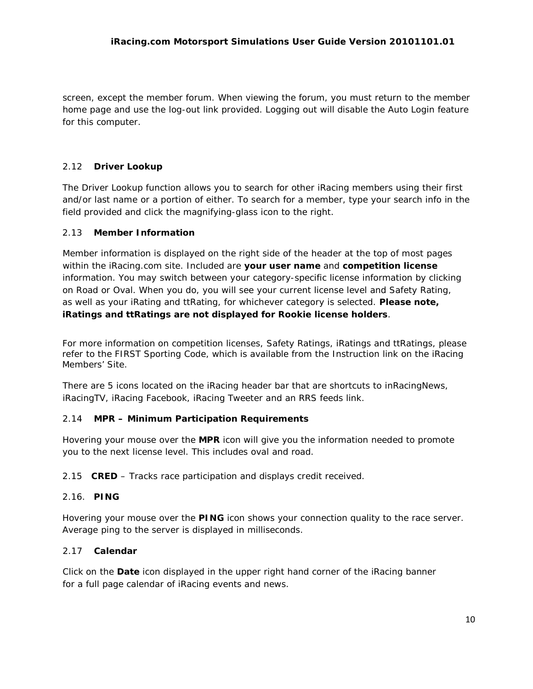screen, except the member forum. When viewing the forum, you must return to the member home page and use the log-out link provided. Logging out will disable the Auto Login feature for this computer.

# 2.12 **Driver Lookup**

The Driver Lookup function allows you to search for other iRacing members using their first and/or last name or a portion of either. To search for a member, type your search info in the field provided and click the magnifying-glass icon to the right.

# 2.13 **Member Information**

Member information is displayed on the right side of the header at the top of most pages within the iRacing.com site. Included are **your user name** and **competition license**  information. You may switch between your category-specific license information by clicking on Road or Oval. When you do, you will see your current license level and Safety Rating, as well as your iRating and ttRating, for whichever category is selected. **Please note, iRatings and ttRatings are not displayed for Rookie license holders**.

For more information on competition licenses, Safety Ratings, iRatings and ttRatings, please refer to the FIRST Sporting Code, which is available from the Instruction link on the iRacing Members' Site.

There are 5 icons located on the iRacing header bar that are shortcuts to inRacingNews, iRacingTV, iRacing Facebook, iRacing Tweeter and an RRS feeds link.

# 2.14 **MPR – Minimum Participation Requirements**

Hovering your mouse over the **MPR** icon will give you the information needed to promote you to the next license level. This includes oval and road.

2.15 **CRED** – Tracks race participation and displays credit received.

# 2.16. **PING**

Hovering your mouse over the **PING** icon shows your connection quality to the race server. Average ping to the server is displayed in milliseconds.

# 2.17 **Calendar**

Click on the **Date** icon displayed in the upper right hand corner of the iRacing banner for a full page calendar of iRacing events and news.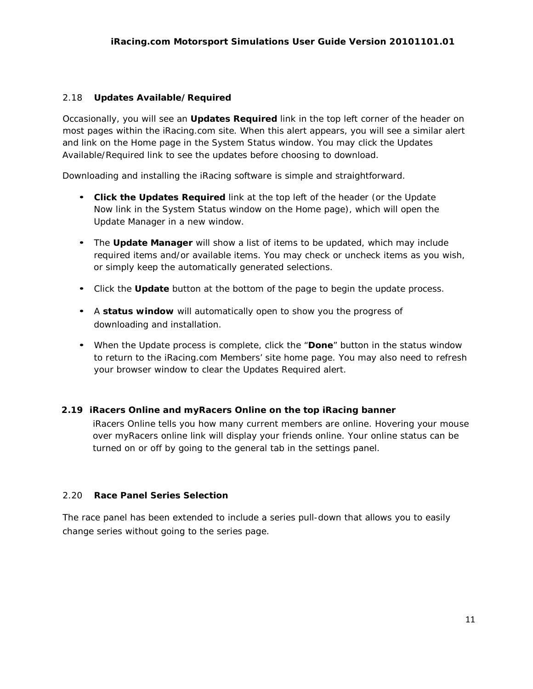## 2.18 **Updates Available/Required**

Occasionally, you will see an **Updates Required** link in the top left corner of the header on most pages within the iRacing.com site. When this alert appears, you will see a similar alert and link on the Home page in the System Status window. You may click the Updates Available/Required link to see the updates before choosing to download.

Downloading and installing the iRacing software is simple and straightforward.

- **Click the Updates Required** link at the top left of the header (or the Update Now link in the System Status window on the Home page), which will open the Update Manager in a new window.
- The **Update Manager** will show a list of items to be updated, which may include required items and/or available items. You may check or uncheck items as you wish, or simply keep the automatically generated selections.
- Click the **Update** button at the bottom of the page to begin the update process.
- A **status window** will automatically open to show you the progress of downloading and installation.
- When the Update process is complete, click the "**Done**" button in the status window to return to the iRacing.com Members' site home page. You may also need to refresh your browser window to clear the Updates Required alert.

## **2.19 iRacers Online and myRacers Online on the top iRacing banner**

iRacers Online tells you how many current members are online. Hovering your mouse over myRacers online link will display your friends online. Your online status can be turned on or off by going to the general tab in the settings panel.

## 2.20 **Race Panel Series Selection**

The race panel has been extended to include a series pull-down that allows you to easily change series without going to the series page.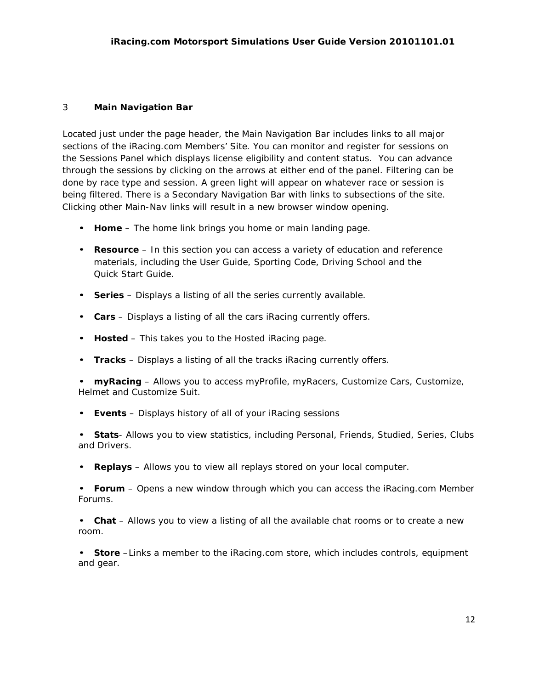## 3 **Main Navigation Bar**

Located just under the page header, the Main Navigation Bar includes links to all major sections of the iRacing.com Members' Site. You can monitor and register for sessions on the Sessions Panel which displays license eligibility and content status. You can advance through the sessions by clicking on the arrows at either end of the panel. Filtering can be done by race type and session. A green light will appear on whatever race or session is being filtered. There is a Secondary Navigation Bar with links to subsections of the site. Clicking other Main-Nav links will result in a new browser window opening.

- **Home**  The home link brings you home or main landing page.
- **Resource** In this section you can access a variety of education and reference materials, including the User Guide, Sporting Code, Driving School and the Quick Start Guide.
- **Series** Displays a listing of all the series currently available.
- **Cars** Displays a listing of all the cars iRacing currently offers.
- **Hosted**  This takes you to the Hosted iRacing page.
- **Tracks** Displays a listing of all the tracks iRacing currently offers.
- **myRacing** Allows you to access myProfile, myRacers, Customize Cars, Customize, Helmet and Customize Suit.
- **Events** Displays history of all of your iRacing sessions

• **Stats**- Allows you to view statistics, including Personal, Friends, Studied, Series, Clubs and Drivers.

• **Replays** – Allows you to view all replays stored on your local computer.

• **Forum** – Opens a new window through which you can access the iRacing.com Member Forums.

• **Chat** – Allows you to view a listing of all the available chat rooms or to create a new room.

• **Store** –Links a member to the iRacing.com store, which includes controls, equipment and gear.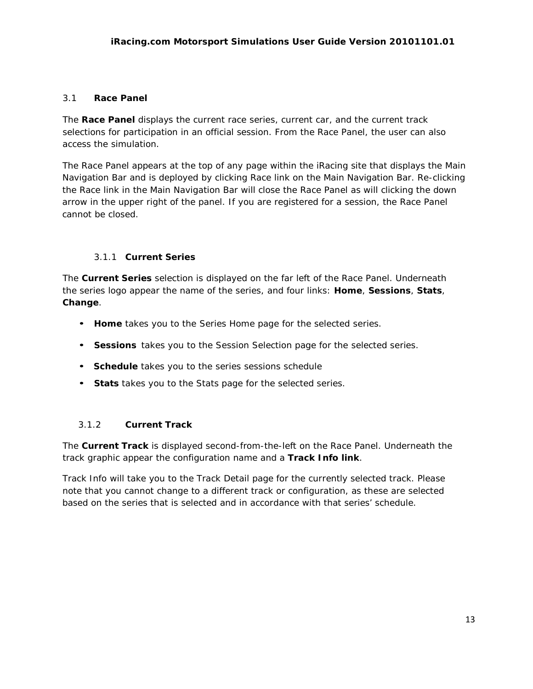# 3.1 **Race Panel**

The **Race Panel** displays the current race series, current car, and the current track selections for participation in an official session. From the Race Panel, the user can also access the simulation.

The Race Panel appears at the top of any page within the iRacing site that displays the Main Navigation Bar and is deployed by clicking Race link on the Main Navigation Bar. Re-clicking the Race link in the Main Navigation Bar will close the Race Panel as will clicking the down arrow in the upper right of the panel. If you are registered for a session, the Race Panel cannot be closed.

# 3.1.1 **Current Series**

The **Current Series** selection is displayed on the far left of the Race Panel. Underneath the series logo appear the name of the series, and four links: **Home**, **Sessions**, **Stats**, **Change**.

- **Home** takes you to the Series Home page for the selected series.
- **Sessions** takes you to the Session Selection page for the selected series.
- **Schedule** takes you to the series sessions schedule
- **Stats** takes you to the Stats page for the selected series.

# 3.1.2 **Current Track**

The **Current Track** is displayed second-from-the-left on the Race Panel. Underneath the track graphic appear the configuration name and a **Track Info link**.

Track Info will take you to the Track Detail page for the currently selected track. Please note that you cannot change to a different track or configuration, as these are selected based on the series that is selected and in accordance with that series' schedule.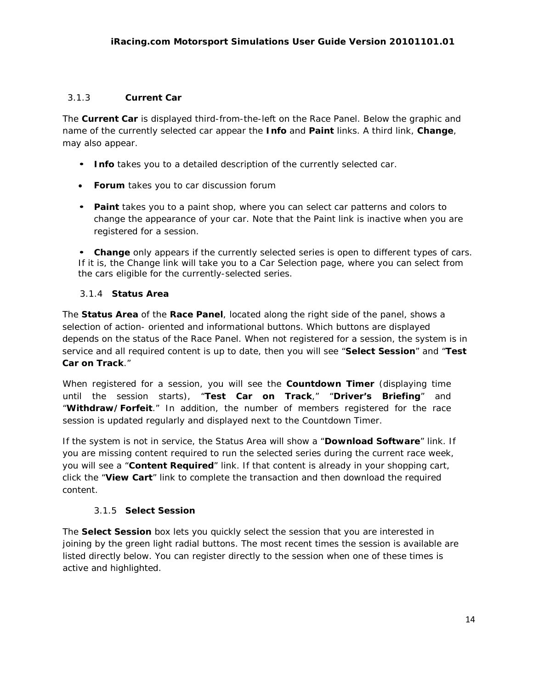# 3.1.3 **Current Car**

The **Current Car** is displayed third-from-the-left on the Race Panel. Below the graphic and name of the currently selected car appear the **Info** and **Paint** links. A third link, **Change**, may also appear.

- **Info** takes you to a detailed description of the currently selected car.
- **Forum** takes you to car discussion forum
- **Paint** takes you to a paint shop, where you can select car patterns and colors to change the appearance of your car. Note that the Paint link is inactive when you are registered for a session.

• **Change** only appears if the currently selected series is open to different types of cars. If it is, the Change link will take you to a Car Selection page, where you can select from the cars eligible for the currently-selected series.

## 3.1.4 **Status Area**

The **Status Area** of the **Race Panel**, located along the right side of the panel, shows a selection of action- oriented and informational buttons. Which buttons are displayed depends on the status of the Race Panel. When not registered for a session, the system is in service and all required content is up to date, then you will see "**Select Session**" and "**Test Car on Track**."

When registered for a session, you will see the **Countdown Timer** (displaying time until the session starts), "**Test Car on Track**," "**Driver's Briefing**" and "**Withdraw/Forfeit**." In addition, the number of members registered for the race session is updated regularly and displayed next to the Countdown Timer.

If the system is not in service, the Status Area will show a "**Download Software**" link. If you are missing content required to run the selected series during the current race week, you will see a "**Content Required**" link. If that content is already in your shopping cart, click the "**View Cart**" link to complete the transaction and then download the required content.

# 3.1.5 **Select Session**

The **Select Session** box lets you quickly select the session that you are interested in joining by the green light radial buttons. The most recent times the session is available are listed directly below. You can register directly to the session when one of these times is active and highlighted.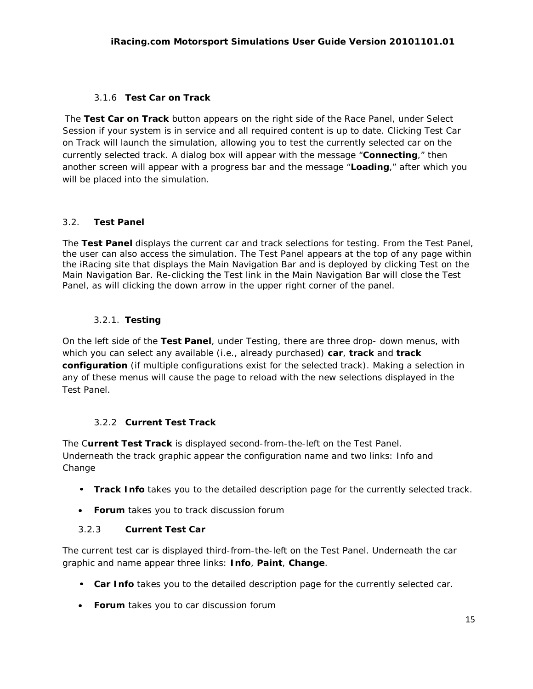## 3.1.6 **Test Car on Track**

The **Test Car on Track** button appears on the right side of the Race Panel, under Select Session if your system is in service and all required content is up to date. Clicking Test Car on Track will launch the simulation, allowing you to test the currently selected car on the currently selected track. A dialog box will appear with the message "**Connecting**," then another screen will appear with a progress bar and the message "**Loading**," after which you will be placed into the simulation.

## 3.2. **Test Panel**

The **Test Panel** displays the current car and track selections for testing. From the Test Panel, the user can also access the simulation. The Test Panel appears at the top of any page within the iRacing site that displays the Main Navigation Bar and is deployed by clicking Test on the Main Navigation Bar. Re-clicking the Test link in the Main Navigation Bar will close the Test Panel, as will clicking the down arrow in the upper right corner of the panel.

# 3.2.1. **Testing**

On the left side of the **Test Panel**, under Testing, there are three drop- down menus, with which you can select any available (i.e., already purchased) **car**, **track** and **track configuration** (if multiple configurations exist for the selected track). Making a selection in any of these menus will cause the page to reload with the new selections displayed in the Test Panel.

# 3.2.2 **Current Test Track**

The C**urrent Test Track** is displayed second-from-the-left on the Test Panel. Underneath the track graphic appear the configuration name and two links: Info and Change

- **Track Info** takes you to the detailed description page for the currently selected track.
- **Forum** takes you to track discussion forum

## 3.2.3 **Current Test Car**

The current test car is displayed third-from-the-left on the Test Panel. Underneath the car graphic and name appear three links: **Info**, **Paint**, **Change**.

- **Car Info** takes you to the detailed description page for the currently selected car.
- **Forum** takes you to car discussion forum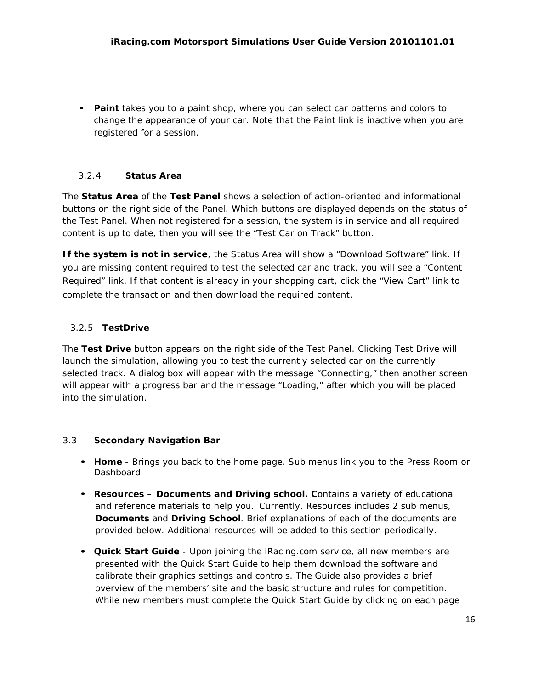• **Paint** takes you to a paint shop, where you can select car patterns and colors to change the appearance of your car. Note that the Paint link is inactive when you are registered for a session.

## 3.2.4 **Status Area**

The **Status Area** of the **Test Panel** shows a selection of action-oriented and informational buttons on the right side of the Panel. Which buttons are displayed depends on the status of the Test Panel. When not registered for a session, the system is in service and all required content is up to date, then you will see the "Test Car on Track" button.

**If the system is not in service**, the Status Area will show a "Download Software" link. If you are missing content required to test the selected car and track, you will see a "Content Required" link. If that content is already in your shopping cart, click the "View Cart" link to complete the transaction and then download the required content.

# 3.2.5 **TestDrive**

The **Test Drive** button appears on the right side of the Test Panel. Clicking Test Drive will launch the simulation, allowing you to test the currently selected car on the currently selected track. A dialog box will appear with the message "Connecting," then another screen will appear with a progress bar and the message "Loading," after which you will be placed into the simulation.

## 3.3 **Secondary Navigation Bar**

- **Home**  Brings you back to the home page. Sub menus link you to the Press Room or Dashboard.
- **Resources – Documents and Driving school. C**ontains a variety of educational and reference materials to help you. Currently, Resources includes 2 sub menus, **Documents** and **Driving School**. Brief explanations of each of the documents are provided below. Additional resources will be added to this section periodically.
- **Quick Start Guide**  Upon joining the iRacing.com service, all new members are presented with the Quick Start Guide to help them download the software and calibrate their graphics settings and controls. The Guide also provides a brief overview of the members' site and the basic structure and rules for competition. While new members must complete the Quick Start Guide by clicking on each page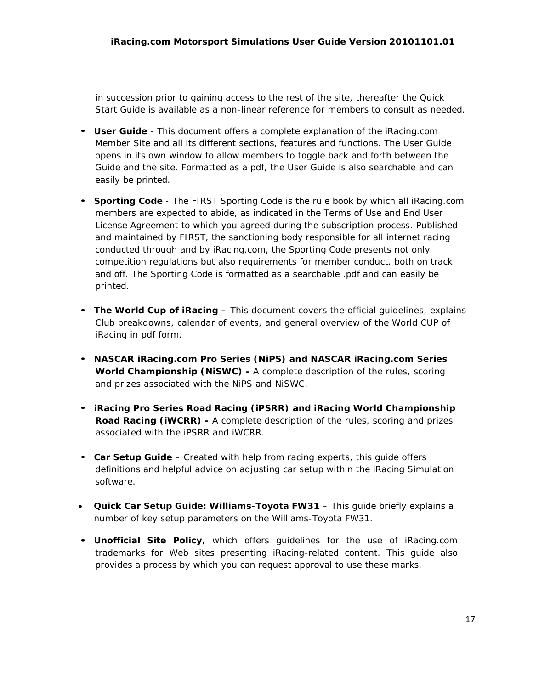in succession prior to gaining access to the rest of the site, thereafter the Quick Start Guide is available as a non-linear reference for members to consult as needed.

- **User Guide**  This document offers a complete explanation of the iRacing.com Member Site and all its different sections, features and functions. The User Guide opens in its own window to allow members to toggle back and forth between the Guide and the site. Formatted as a pdf, the User Guide is also searchable and can easily be printed.
- **Sporting Code**  The FIRST Sporting Code is the rule book by which all iRacing.com members are expected to abide, as indicated in the Terms of Use and End User License Agreement to which you agreed during the subscription process. Published and maintained by FIRST, the sanctioning body responsible for all internet racing conducted through and by iRacing.com, the Sporting Code presents not only competition regulations but also requirements for member conduct, both on track and off. The Sporting Code is formatted as a searchable .pdf and can easily be printed.
- **The World Cup of iRacing –** This document covers the official guidelines, explains Club breakdowns, calendar of events, and general overview of the World CUP of iRacing in pdf form.
- **NASCAR iRacing.com Pro Series (NiPS) and NASCAR iRacing.com Series World Championship (NiSWC) -** A complete description of the rules, scoring and prizes associated with the NiPS and NiSWC.
- **iRacing Pro Series Road Racing (iPSRR) and iRacing World Championship Road Racing (iWCRR) -** A complete description of the rules, scoring and prizes associated with the iPSRR and iWCRR.
- **Car Setup Guide**  Created with help from racing experts, this guide offers definitions and helpful advice on adjusting car setup within the iRacing Simulation software.
- **Quick Car Setup Guide: Williams-Toyota FW31**  This guide briefly explains a number of key setup parameters on the Williams-Toyota FW31.
- **Unofficial Site Policy**, which offers guidelines for the use of iRacing.com trademarks for Web sites presenting iRacing-related content. This guide also provides a process by which you can request approval to use these marks.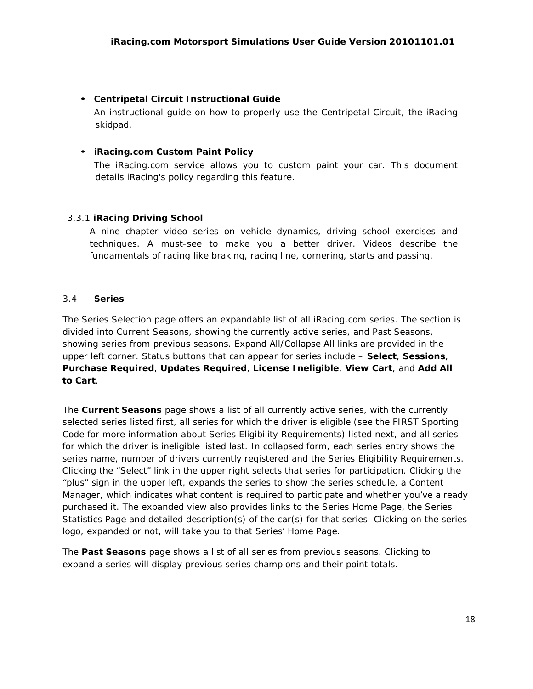## • **Centripetal Circuit Instructional Guide**

An instructional guide on how to properly use the Centripetal Circuit, the iRacing skidpad.

## • **iRacing.com Custom Paint Policy**

The iRacing.com service allows you to custom paint your car. This document details iRacing's policy regarding this feature.

## 3.3.1 **iRacing Driving School**

A nine chapter video series on vehicle dynamics, driving school exercises and techniques. A must-see to make you a better driver. Videos describe the fundamentals of racing like braking, racing line, cornering, starts and passing.

## 3.4 **Series**

The Series Selection page offers an expandable list of all iRacing.com series. The section is divided into Current Seasons, showing the currently active series, and Past Seasons, showing series from previous seasons. Expand All/Collapse All links are provided in the upper left corner. Status buttons that can appear for series include – **Select**, **Sessions**, **Purchase Required**, **Updates Required**, **License Ineligible**, **View Cart**, and **Add All to Cart**.

The **Current Seasons** page shows a list of all currently active series, with the currently selected series listed first, all series for which the driver is eligible (see the FIRST Sporting Code for more information about Series Eligibility Requirements) listed next, and all series for which the driver is ineligible listed last. In collapsed form, each series entry shows the series name, number of drivers currently registered and the Series Eligibility Requirements. Clicking the "Select" link in the upper right selects that series for participation. Clicking the "plus" sign in the upper left, expands the series to show the series schedule, a Content Manager, which indicates what content is required to participate and whether you've already purchased it. The expanded view also provides links to the Series Home Page, the Series Statistics Page and detailed description(s) of the car(s) for that series. Clicking on the series logo, expanded or not, will take you to that Series' Home Page.

The **Past Seasons** page shows a list of all series from previous seasons. Clicking to expand a series will display previous series champions and their point totals.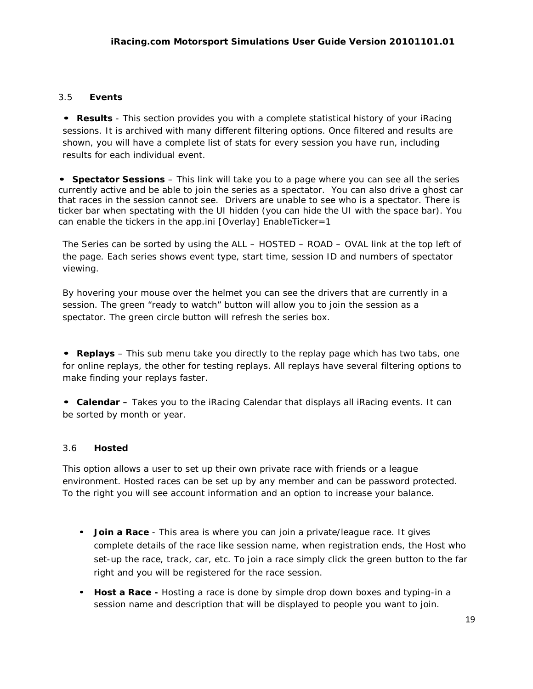## 3.5 **Events**

**• Results** - This section provides you with a complete statistical history of your iRacing sessions. It is archived with many different filtering options. Once filtered and results are shown, you will have a complete list of stats for every session you have run, including results for each individual event.

**• Spectator Sessions** – This link will take you to a page where you can see all the series currently active and be able to join the series as a spectator. You can also drive a ghost car that races in the session cannot see. Drivers are unable to see who is a spectator. There is ticker bar when spectating with the UI hidden (you can hide the UI with the space bar). You can enable the tickers in the app.ini [Overlay] EnableTicker=1

The Series can be sorted by using the ALL – HOSTED – ROAD – OVAL link at the top left of the page. Each series shows event type, start time, session ID and numbers of spectator viewing.

By hovering your mouse over the helmet you can see the drivers that are currently in a session. The green "ready to watch" button will allow you to join the session as a spectator. The green circle button will refresh the series box.

**• Replays** – This sub menu take you directly to the replay page which has two tabs, one for online replays, the other for testing replays. All replays have several filtering options to make finding your replays faster.

**• Calendar –** Takes you to the iRacing Calendar that displays all iRacing events. It can be sorted by month or year.

## 3.6 **Hosted**

This option allows a user to set up their own private race with friends or a league environment. Hosted races can be set up by any member and can be password protected. To the right you will see account information and an option to increase your balance.

- **Join a Race**  This area is where you can join a private/league race. It gives complete details of the race like session name, when registration ends, the Host who set-up the race, track, car, etc. To join a race simply click the green button to the far right and you will be registered for the race session.
- **Host a Race -** Hosting a race is done by simple drop down boxes and typing-in a session name and description that will be displayed to people you want to join.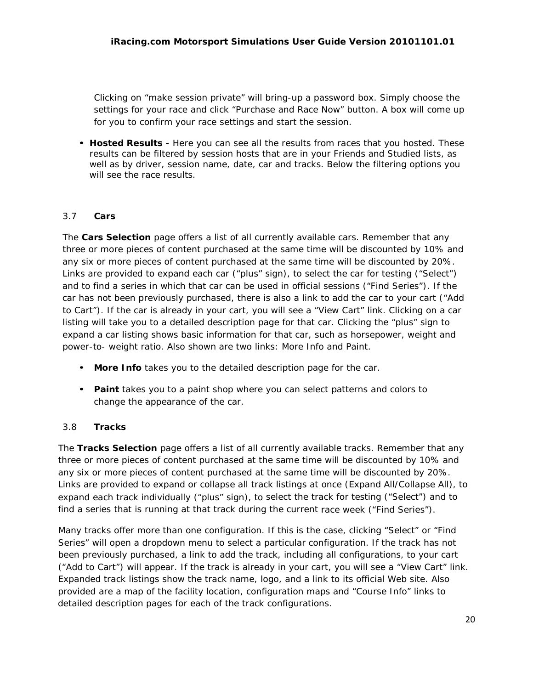Clicking on "make session private" will bring-up a password box. Simply choose the settings for your race and click "Purchase and Race Now" button. A box will come up for you to confirm your race settings and start the session.

• **Hosted Results -** Here you can see all the results from races that you hosted. These results can be filtered by session hosts that are in your Friends and Studied lists, as well as by driver, session name, date, car and tracks. Below the filtering options you will see the race results.

## 3.7 **Cars**

The **Cars Selection** page offers a list of all currently available cars. Remember that any three or more pieces of content purchased at the same time will be discounted by 10% and any six or more pieces of content purchased at the same time will be discounted by 20%. Links are provided to expand each car ("plus" sign), to select the car for testing ("Select") and to find a series in which that car can be used in official sessions ("Find Series"). If the car has not been previously purchased, there is also a link to add the car to your cart ("Add to Cart"). If the car is already in your cart, you will see a "View Cart" link. Clicking on a car listing will take you to a detailed description page for that car. Clicking the "plus" sign to expand a car listing shows basic information for that car, such as horsepower, weight and power-to- weight ratio. Also shown are two links: More Info and Paint.

- **More Info** takes you to the detailed description page for the car.
- **Paint** takes you to a paint shop where you can select patterns and colors to change the appearance of the car.

## 3.8 **Tracks**

The **Tracks Selection** page offers a list of all currently available tracks. Remember that any three or more pieces of content purchased at the same time will be discounted by 10% and any six or more pieces of content purchased at the same time will be discounted by 20%. Links are provided to expand or collapse all track listings at once (Expand All/Collapse All), to expand each track individually ("plus" sign), to select the track for testing ("Select") and to find a series that is running at that track during the current race week ("Find Series").

Many tracks offer more than one configuration. If this is the case, clicking "Select" or "Find Series" will open a dropdown menu to select a particular configuration. If the track has not been previously purchased, a link to add the track, including all configurations, to your cart ("Add to Cart") will appear. If the track is already in your cart, you will see a "View Cart" link. Expanded track listings show the track name, logo, and a link to its official Web site. Also provided are a map of the facility location, configuration maps and "Course Info" links to detailed description pages for each of the track configurations.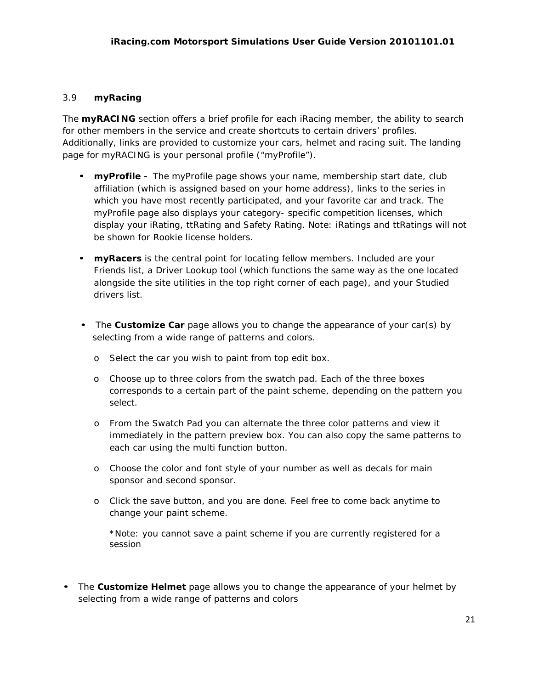## 3.9 **myRacing**

The **myRACING** section offers a brief profile for each iRacing member, the ability to search for other members in the service and create shortcuts to certain drivers' profiles. Additionally, links are provided to customize your cars, helmet and racing suit. The landing page for myRACING is your personal profile ("myProfile").

- **myProfile -** The myProfile page shows your name, membership start date, club affiliation (which is assigned based on your home address), links to the series in which you have most recently participated, and your favorite car and track. The myProfile page also displays your category- specific competition licenses, which display your iRating, ttRating and Safety Rating. Note: iRatings and ttRatings will not be shown for Rookie license holders.
- **myRacers** is the central point for locating fellow members. Included are your Friends list, a Driver Lookup tool (which functions the same way as the one located alongside the site utilities in the top right corner of each page), and your Studied drivers list.
- The **Customize Car** page allows you to change the appearance of your car(s) by selecting from a wide range of patterns and colors.
	- o Select the car you wish to paint from top edit box.
	- o Choose up to three colors from the swatch pad. Each of the three boxes corresponds to a certain part of the paint scheme, depending on the pattern you select.
	- o From the Swatch Pad you can alternate the three color patterns and view it immediately in the pattern preview box. You can also copy the same patterns to each car using the multi function button.
	- o Choose the color and font style of your number as well as decals for main sponsor and second sponsor.
	- o Click the save button, and you are done. Feel free to come back anytime to change your paint scheme.

\*Note: you cannot save a paint scheme if you are currently registered for a session

• The **Customize Helmet** page allows you to change the appearance of your helmet by selecting from a wide range of patterns and colors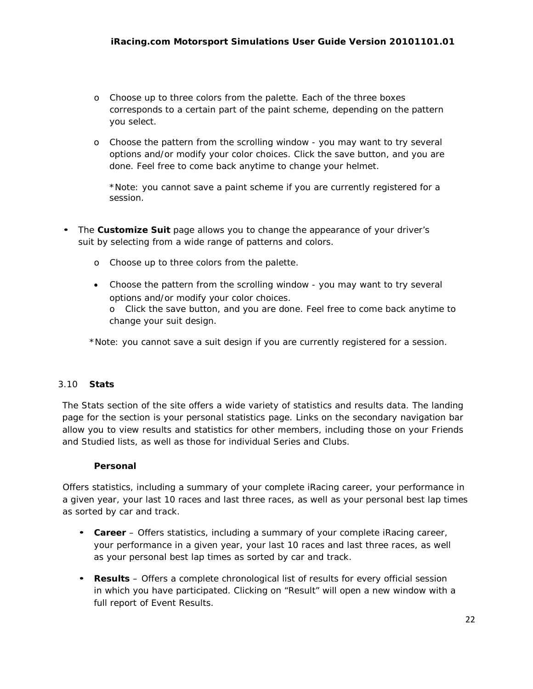- o Choose up to three colors from the palette. Each of the three boxes corresponds to a certain part of the paint scheme, depending on the pattern you select.
- o Choose the pattern from the scrolling window you may want to try several options and/or modify your color choices. Click the save button, and you are done. Feel free to come back anytime to change your helmet.

\*Note: you cannot save a paint scheme if you are currently registered for a session.

- The **Customize Suit** page allows you to change the appearance of your driver's suit by selecting from a wide range of patterns and colors.
	- o Choose up to three colors from the palette.
	- Choose the pattern from the scrolling window you may want to try several options and/or modify your color choices.

o Click the save button, and you are done. Feel free to come back anytime to change your suit design.

\*Note: you cannot save a suit design if you are currently registered for a session.

## 3.10 **Stats**

The Stats section of the site offers a wide variety of statistics and results data. The landing page for the section is your personal statistics page. Links on the secondary navigation bar allow you to view results and statistics for other members, including those on your Friends and Studied lists, as well as those for individual Series and Clubs.

## **Personal**

Offers statistics, including a summary of your complete iRacing career, your performance in a given year, your last 10 races and last three races, as well as your personal best lap times as sorted by car and track.

- **Career** Offers statistics, including a summary of your complete iRacing career, your performance in a given year, your last 10 races and last three races, as well as your personal best lap times as sorted by car and track.
- **Results** Offers a complete chronological list of results for every official session in which you have participated. Clicking on "Result" will open a new window with a full report of Event Results.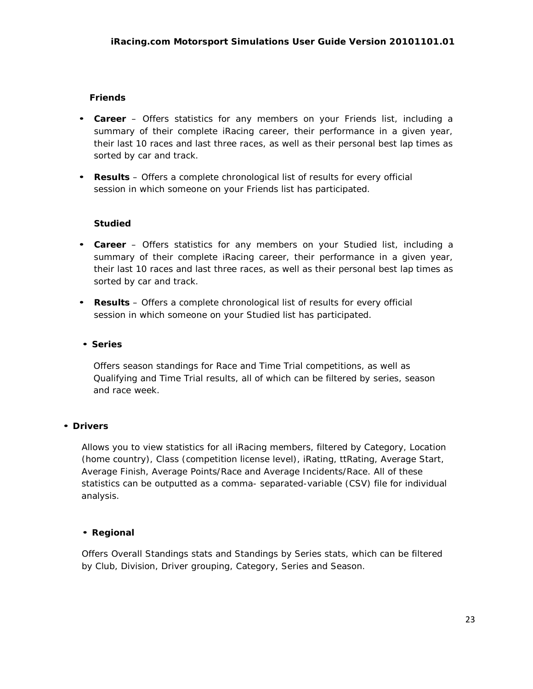# **Friends**

- **Career** Offers statistics for any members on your Friends list, including a summary of their complete iRacing career, their performance in a given year, their last 10 races and last three races, as well as their personal best lap times as sorted by car and track.
- **Results** Offers a complete chronological list of results for every official session in which someone on your Friends list has participated.

## **Studied**

- **Career** Offers statistics for any members on your Studied list, including a summary of their complete iRacing career, their performance in a given year, their last 10 races and last three races, as well as their personal best lap times as sorted by car and track.
- **Results** Offers a complete chronological list of results for every official session in which someone on your Studied list has participated.

## • **Series**

Offers season standings for Race and Time Trial competitions, as well as Qualifying and Time Trial results, all of which can be filtered by series, season and race week.

## • **Drivers**

Allows you to view statistics for all iRacing members, filtered by Category, Location (home country), Class (competition license level), iRating, ttRating, Average Start, Average Finish, Average Points/Race and Average Incidents/Race. All of these statistics can be outputted as a comma- separated-variable (CSV) file for individual analysis.

## • **Regional**

Offers Overall Standings stats and Standings by Series stats, which can be filtered by Club, Division, Driver grouping, Category, Series and Season.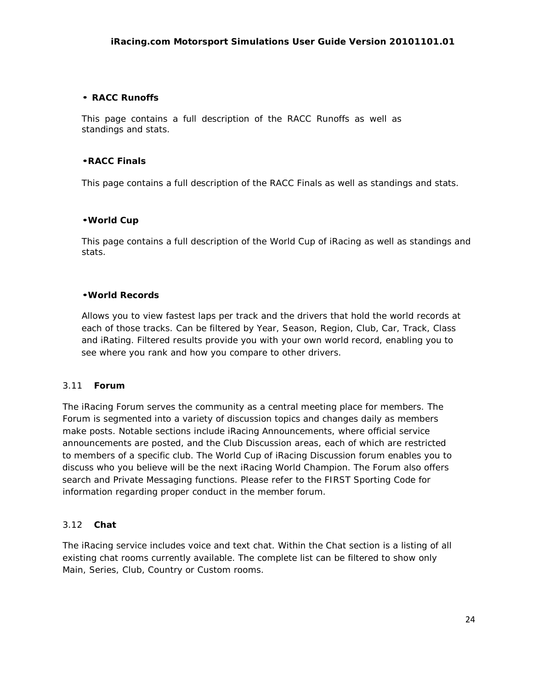## • **RACC Runoffs**

This page contains a full description of the RACC Runoffs as well as standings and stats.

#### •**RACC Finals**

This page contains a full description of the RACC Finals as well as standings and stats.

#### •**World Cup**

This page contains a full description of the World Cup of iRacing as well as standings and stats.

#### •**World Records**

Allows you to view fastest laps per track and the drivers that hold the world records at each of those tracks. Can be filtered by Year, Season, Region, Club, Car, Track, Class and iRating. Filtered results provide you with your own world record, enabling you to see where you rank and how you compare to other drivers.

#### 3.11 **Forum**

The iRacing Forum serves the community as a central meeting place for members. The Forum is segmented into a variety of discussion topics and changes daily as members make posts. Notable sections include iRacing Announcements, where official service announcements are posted, and the Club Discussion areas, each of which are restricted to members of a specific club. The World Cup of iRacing Discussion forum enables you to discuss who you believe will be the next iRacing World Champion. The Forum also offers search and Private Messaging functions. Please refer to the FIRST Sporting Code for information regarding proper conduct in the member forum.

## 3.12 **Chat**

The iRacing service includes voice and text chat. Within the Chat section is a listing of all existing chat rooms currently available. The complete list can be filtered to show only Main, Series, Club, Country or Custom rooms.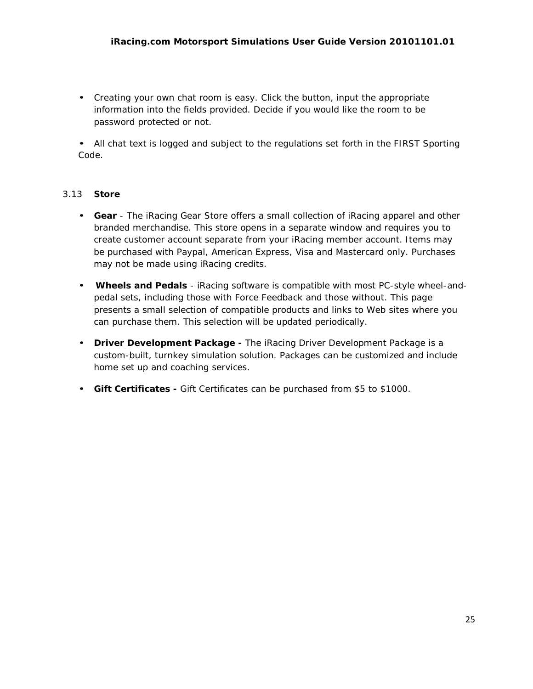• Creating your own chat room is easy. Click the button, input the appropriate information into the fields provided. Decide if you would like the room to be password protected or not.

• All chat text is logged and subject to the regulations set forth in the FIRST Sporting Code.

# 3.13 **Store**

- **Gear** The iRacing Gear Store offers a small collection of iRacing apparel and other branded merchandise. This store opens in a separate window and requires you to create customer account separate from your iRacing member account. Items may be purchased with Paypal, American Express, Visa and Mastercard only. Purchases may not be made using iRacing credits.
- **Wheels and Pedals** iRacing software is compatible with most PC-style wheel-andpedal sets, including those with Force Feedback and those without. This page presents a small selection of compatible products and links to Web sites where you can purchase them. This selection will be updated periodically.
- **Driver Development Package -** The iRacing Driver Development Package is a custom-built, turnkey simulation solution. Packages can be customized and include home set up and coaching services.
- **Gift Certificates -** Gift Certificates can be purchased from \$5 to \$1000.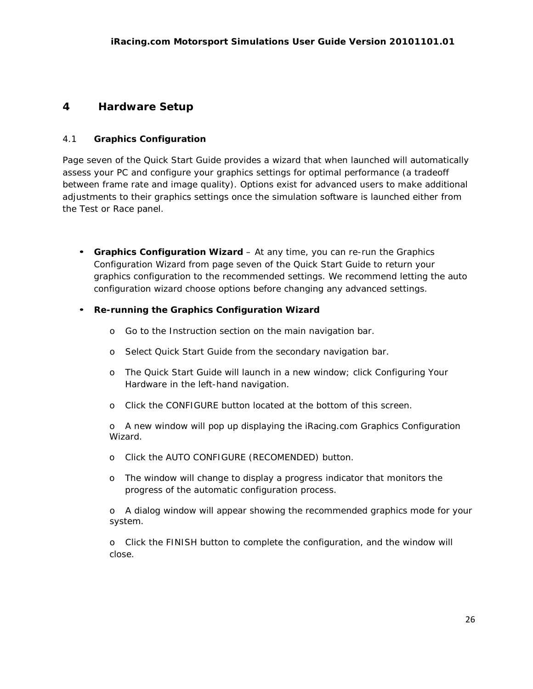# **4 Hardware Setup**

## 4.1 **Graphics Configuration**

Page seven of the Quick Start Guide provides a wizard that when launched will automatically assess your PC and configure your graphics settings for optimal performance (a tradeoff between frame rate and image quality). Options exist for advanced users to make additional adjustments to their graphics settings once the simulation software is launched either from the Test or Race panel.

• **Graphics Configuration Wizard** – At any time, you can re-run the Graphics Configuration Wizard from page seven of the Quick Start Guide to return your graphics configuration to the recommended settings. We recommend letting the auto configuration wizard choose options before changing any advanced settings.

## • **Re-running the Graphics Configuration Wizard**

- o Go to the Instruction section on the main navigation bar.
- o Select Quick Start Guide from the secondary navigation bar.
- o The Quick Start Guide will launch in a new window; click Configuring Your Hardware in the left-hand navigation.
- o Click the CONFIGURE button located at the bottom of this screen.

o A new window will pop up displaying the iRacing.com Graphics Configuration Wizard.

- o Click the AUTO CONFIGURE (RECOMENDED) button.
- o The window will change to display a progress indicator that monitors the progress of the automatic configuration process.

o A dialog window will appear showing the recommended graphics mode for your system.

o Click the FINISH button to complete the configuration, and the window will close.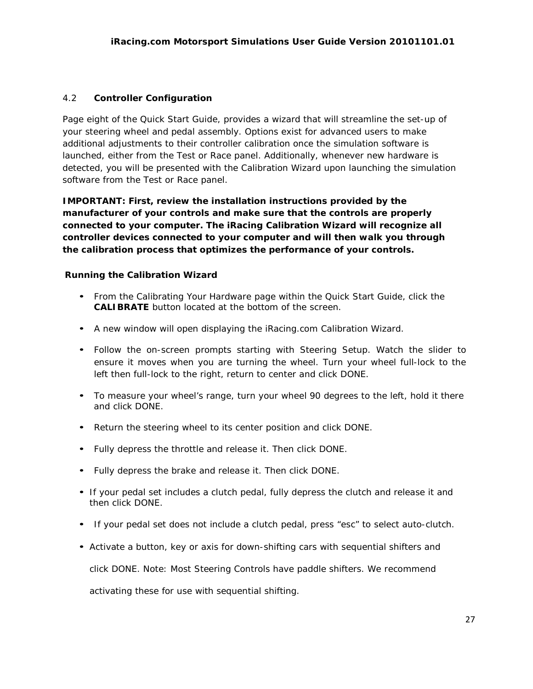# 4.2 **Controller Configuration**

Page eight of the Quick Start Guide, provides a wizard that will streamline the set-up of your steering wheel and pedal assembly. Options exist for advanced users to make additional adjustments to their controller calibration once the simulation software is launched, either from the Test or Race panel. Additionally, whenever new hardware is detected, you will be presented with the Calibration Wizard upon launching the simulation software from the Test or Race panel.

*IMPORTANT: First, review the installation instructions provided by the manufacturer of your controls and make sure that the controls are properly connected to your computer. The iRacing Calibration Wizard will recognize all controller devices connected to your computer and will then walk you through the calibration process that optimizes the performance of your controls.*

## **Running the Calibration Wizard**

- From the Calibrating Your Hardware page within the Quick Start Guide, click the **CALIBRATE** button located at the bottom of the screen.
- A new window will open displaying the iRacing.com Calibration Wizard.
- Follow the on-screen prompts starting with Steering Setup. Watch the slider to ensure it moves when you are turning the wheel. Turn your wheel full-lock to the left then full-lock to the right, return to center and click DONE.
- To measure your wheel's range, turn your wheel 90 degrees to the left, hold it there and click DONE.
- Return the steering wheel to its center position and click DONE.
- Fully depress the throttle and release it. Then click DONE.
- Fully depress the brake and release it. Then click DONE.
- If your pedal set includes a clutch pedal, fully depress the clutch and release it and then click DONE.
- If your pedal set does not include a clutch pedal, press "esc" to select auto-clutch.
- Activate a button, key or axis for down-shifting cars with sequential shifters and

click DONE. Note: Most Steering Controls have paddle shifters. We recommend

activating these for use with sequential shifting.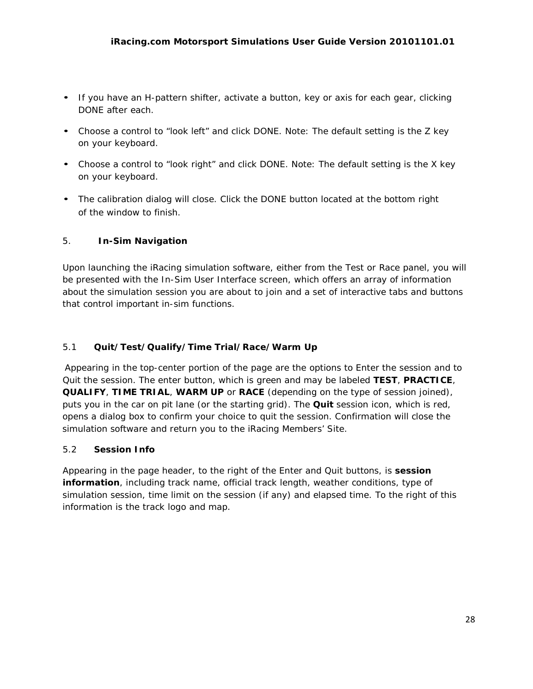- If you have an H-pattern shifter, activate a button, key or axis for each gear, clicking DONE after each.
- Choose a control to "look left" and click DONE. Note: The default setting is the Z key on your keyboard.
- Choose a control to "look right" and click DONE. Note: The default setting is the X key on your keyboard.
- The calibration dialog will close. Click the DONE button located at the bottom right of the window to finish.

# 5. **In-Sim Navigation**

Upon launching the iRacing simulation software, either from the Test or Race panel, you will be presented with the In-Sim User Interface screen, which offers an array of information about the simulation session you are about to join and a set of interactive tabs and buttons that control important in-sim functions.

# 5.1 **Quit/Test/Qualify/Time Trial/Race/Warm Up**

Appearing in the top-center portion of the page are the options to Enter the session and to Quit the session. The enter button, which is green and may be labeled **TEST**, **PRACTICE**, **QUALIFY**, **TIME TRIAL**, **WARM UP** or **RACE** (depending on the type of session joined), puts you in the car on pit lane (or the starting grid). The **Quit** session icon, which is red, opens a dialog box to confirm your choice to quit the session. Confirmation will close the simulation software and return you to the iRacing Members' Site.

# 5.2 **Session Info**

Appearing in the page header, to the right of the Enter and Quit buttons, is **session information**, including track name, official track length, weather conditions, type of simulation session, time limit on the session (if any) and elapsed time. To the right of this information is the track logo and map.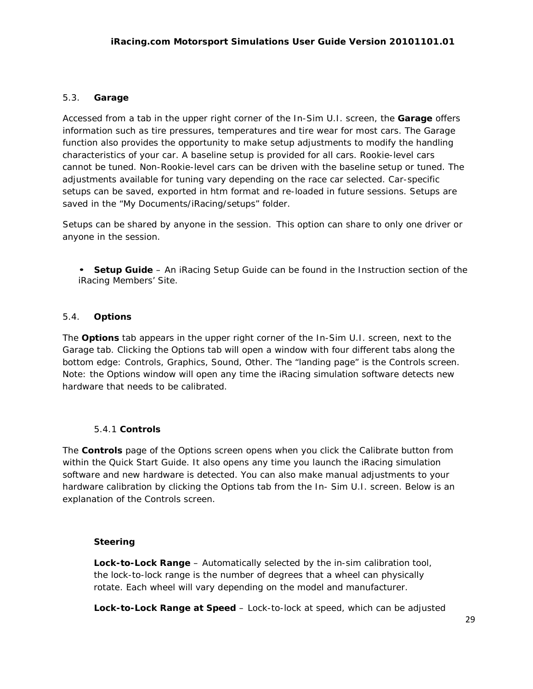## 5.3. **Garage**

Accessed from a tab in the upper right corner of the In-Sim U.I. screen, the **Garage** offers information such as tire pressures, temperatures and tire wear for most cars. The Garage function also provides the opportunity to make setup adjustments to modify the handling characteristics of your car. A baseline setup is provided for all cars. Rookie-level cars cannot be tuned. Non-Rookie-level cars can be driven with the baseline setup or tuned. The adjustments available for tuning vary depending on the race car selected. Car-specific setups can be saved, exported in htm format and re-loaded in future sessions. Setups are saved in the "My Documents/iRacing/setups" folder.

Setups can be shared by anyone in the session. This option can share to only one driver or anyone in the session.

• **Setup Guide** – An iRacing Setup Guide can be found in the Instruction section of the iRacing Members' Site.

## 5.4. **Options**

The **Options** tab appears in the upper right corner of the In-Sim U.I. screen, next to the Garage tab. Clicking the Options tab will open a window with four different tabs along the bottom edge: Controls, Graphics, Sound, Other. The "landing page" is the Controls screen. Note: the Options window will open any time the iRacing simulation software detects new hardware that needs to be calibrated.

## 5.4.1 **Controls**

The **Controls** page of the Options screen opens when you click the Calibrate button from within the Quick Start Guide. It also opens any time you launch the iRacing simulation software and new hardware is detected. You can also make manual adjustments to your hardware calibration by clicking the Options tab from the In- Sim U.I. screen. Below is an explanation of the Controls screen.

## **Steering**

**Lock-to-Lock Range** – Automatically selected by the in-sim calibration tool, the lock-to-lock range is the number of degrees that a wheel can physically rotate. Each wheel will vary depending on the model and manufacturer.

**Lock-to-Lock Range at Speed** – Lock-to-lock at speed, which can be adjusted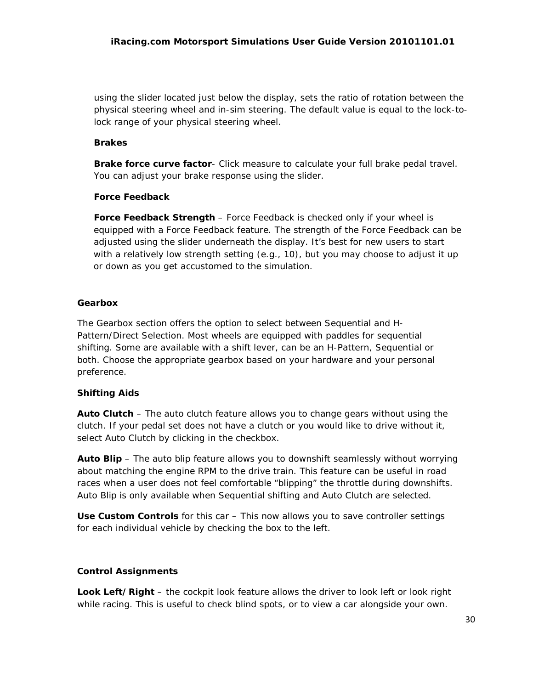using the slider located just below the display, sets the ratio of rotation between the physical steering wheel and in-sim steering. The default value is equal to the lock-tolock range of your physical steering wheel.

## **Brakes**

**Brake force curve factor**- Click measure to calculate your full brake pedal travel. You can adjust your brake response using the slider.

## **Force Feedback**

**Force Feedback Strength** – Force Feedback is checked only if your wheel is equipped with a Force Feedback feature. The strength of the Force Feedback can be adjusted using the slider underneath the display. It's best for new users to start with a relatively low strength setting (e.g., 10), but you may choose to adjust it up or down as you get accustomed to the simulation.

#### **Gearbox**

The Gearbox section offers the option to select between Sequential and H-Pattern/Direct Selection. Most wheels are equipped with paddles for sequential shifting. Some are available with a shift lever, can be an H-Pattern, Sequential or both. Choose the appropriate gearbox based on your hardware and your personal preference.

## **Shifting Aids**

**Auto Clutch** – The auto clutch feature allows you to change gears without using the clutch. If your pedal set does not have a clutch or you would like to drive without it, select Auto Clutch by clicking in the checkbox.

**Auto Blip** – The auto blip feature allows you to downshift seamlessly without worrying about matching the engine RPM to the drive train. This feature can be useful in road races when a user does not feel comfortable "blipping" the throttle during downshifts. Auto Blip is only available when Sequential shifting and Auto Clutch are selected.

**Use Custom Controls** for this car – This now allows you to save controller settings for each individual vehicle by checking the box to the left.

## **Control Assignments**

**Look Left/Right** – the cockpit look feature allows the driver to look left or look right while racing. This is useful to check blind spots, or to view a car alongside your own.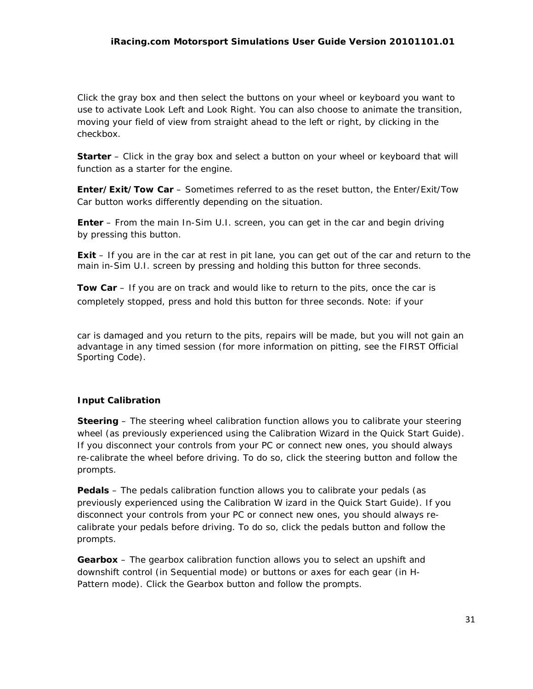Click the gray box and then select the buttons on your wheel or keyboard you want to use to activate Look Left and Look Right. You can also choose to animate the transition, moving your field of view from straight ahead to the left or right, by clicking in the checkbox.

**Starter** – Click in the gray box and select a button on your wheel or keyboard that will function as a starter for the engine.

**Enter/Exit/Tow Car** – Sometimes referred to as the reset button, the Enter/Exit/Tow Car button works differently depending on the situation.

**Enter** – From the main In-Sim U.I. screen, you can get in the car and begin driving by pressing this button.

**Exit** – If you are in the car at rest in pit lane, you can get out of the car and return to the main in-Sim U.I. screen by pressing and holding this button for three seconds.

**Tow Car** – If you are on track and would like to return to the pits, once the car is completely stopped, press and hold this button for three seconds. Note: if your

car is damaged and you return to the pits, repairs will be made, but you will not gain an advantage in any timed session (for more information on pitting, see the FIRST Official Sporting Code).

# **Input Calibration**

**Steering** – The steering wheel calibration function allows you to calibrate your steering wheel (as previously experienced using the Calibration Wizard in the Quick Start Guide). If you disconnect your controls from your PC or connect new ones, you should always re-calibrate the wheel before driving. To do so, click the steering button and follow the prompts.

**Pedals** – The pedals calibration function allows you to calibrate your pedals (as previously experienced using the Calibration W izard in the Quick Start Guide). If you disconnect your controls from your PC or connect new ones, you should always recalibrate your pedals before driving. To do so, click the pedals button and follow the prompts.

**Gearbox** – The gearbox calibration function allows you to select an upshift and downshift control (in Sequential mode) or buttons or axes for each gear (in H-Pattern mode). Click the Gearbox button and follow the prompts.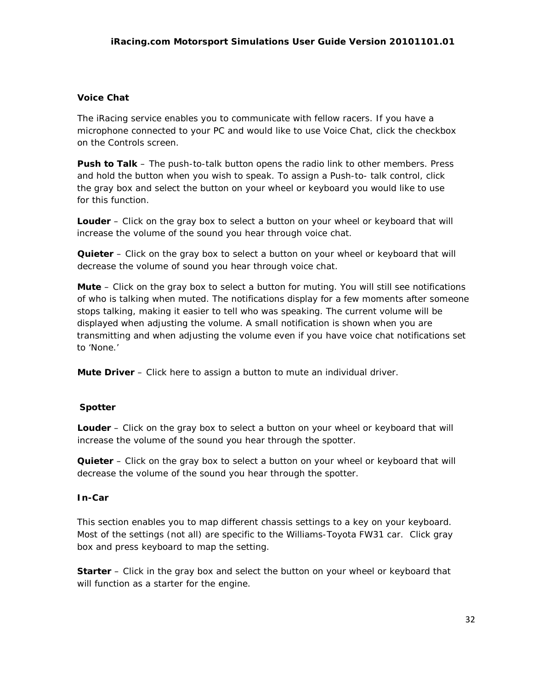## **Voice Chat**

The iRacing service enables you to communicate with fellow racers. If you have a microphone connected to your PC and would like to use Voice Chat, click the checkbox on the Controls screen.

**Push to Talk** – The push-to-talk button opens the radio link to other members. Press and hold the button when you wish to speak. To assign a Push-to- talk control, click the gray box and select the button on your wheel or keyboard you would like to use for this function.

**Louder** – Click on the gray box to select a button on your wheel or keyboard that will increase the volume of the sound you hear through voice chat.

**Quieter** – Click on the gray box to select a button on your wheel or keyboard that will decrease the volume of sound you hear through voice chat.

**Mute** – Click on the gray box to select a button for muting. You will still see notifications of who is talking when muted. The notifications display for a few moments after someone stops talking, making it easier to tell who was speaking. The current volume will be displayed when adjusting the volume. A small notification is shown when you are transmitting and when adjusting the volume even if you have voice chat notifications set to 'None.'

**Mute Driver** – Click here to assign a button to mute an individual driver.

## **Spotter**

**Louder** – Click on the gray box to select a button on your wheel or keyboard that will increase the volume of the sound you hear through the spotter.

**Quieter** – Click on the gray box to select a button on your wheel or keyboard that will decrease the volume of the sound you hear through the spotter.

## **In-Car**

This section enables you to map different chassis settings to a key on your keyboard. Most of the settings (not all) are specific to the Williams-Toyota FW31 car. Click gray box and press keyboard to map the setting.

**Starter** – Click in the gray box and select the button on your wheel or keyboard that will function as a starter for the engine.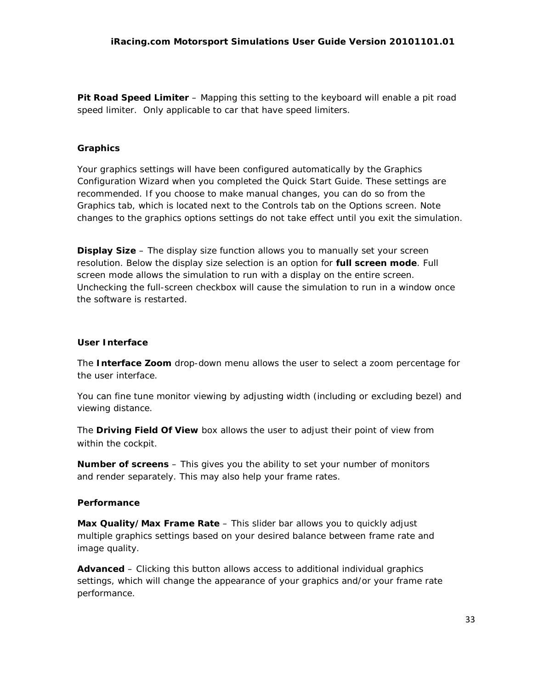**Pit Road Speed Limiter** – Mapping this setting to the keyboard will enable a pit road speed limiter. Only applicable to car that have speed limiters.

## **Graphics**

Your graphics settings will have been configured automatically by the Graphics Configuration Wizard when you completed the Quick Start Guide. These settings are recommended. If you choose to make manual changes, you can do so from the Graphics tab, which is located next to the Controls tab on the Options screen. Note changes to the graphics options settings do not take effect until you exit the simulation.

**Display Size** – The display size function allows you to manually set your screen resolution. Below the display size selection is an option for **full screen mode**. Full screen mode allows the simulation to run with a display on the entire screen. Unchecking the full-screen checkbox will cause the simulation to run in a window once the software is restarted.

## **User Interface**

The **Interface Zoom** drop-down menu allows the user to select a zoom percentage for the user interface.

You can fine tune monitor viewing by adjusting width (including or excluding bezel) and viewing distance.

The **Driving Field Of View** box allows the user to adjust their point of view from within the cockpit.

**Number of screens** – This gives you the ability to set your number of monitors and render separately. This may also help your frame rates.

## **Performance**

**Max Quality/Max Frame Rate – This slider bar allows you to quickly adjust** multiple graphics settings based on your desired balance between frame rate and image quality.

**Advanced** – Clicking this button allows access to additional individual graphics settings, which will change the appearance of your graphics and/or your frame rate performance.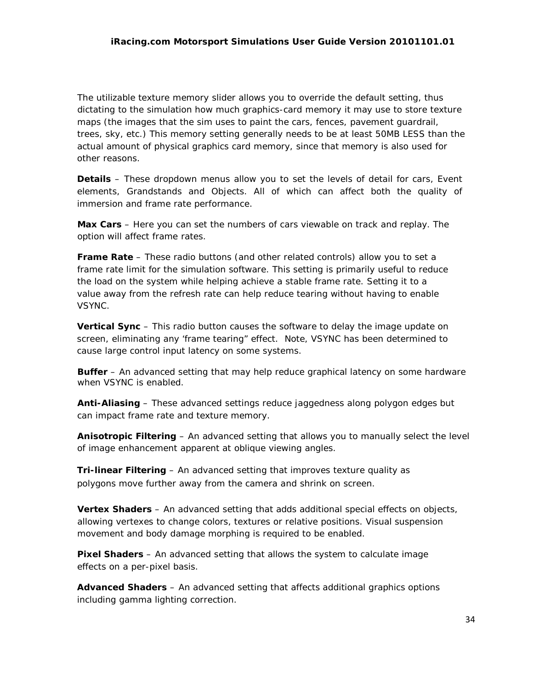The utilizable texture memory slider allows you to override the default setting, thus dictating to the simulation how much graphics-card memory it may use to store texture maps (the images that the sim uses to paint the cars, fences, pavement guardrail, trees, sky, etc.) This memory setting generally needs to be at least 50MB LESS than the actual amount of physical graphics card memory, since that memory is also used for other reasons.

**Details** – These dropdown menus allow you to set the levels of detail for cars, Event elements, Grandstands and Objects. All of which can affect both the quality of immersion and frame rate performance.

**Max Cars** – Here you can set the numbers of cars viewable on track and replay. The option will affect frame rates.

**Frame Rate** – These radio buttons (and other related controls) allow you to set a frame rate limit for the simulation software. This setting is primarily useful to reduce the load on the system while helping achieve a stable frame rate. Setting it to a value away from the refresh rate can help reduce tearing without having to enable VSYNC.

**Vertical Sync** – This radio button causes the software to delay the image update on screen, eliminating any 'frame tearing" effect. Note, VSYNC has been determined to cause large control input latency on some systems.

**Buffer** – An advanced setting that may help reduce graphical latency on some hardware when VSYNC is enabled.

**Anti-Aliasing** – These advanced settings reduce jaggedness along polygon edges but can impact frame rate and texture memory.

**Anisotropic Filtering** – An advanced setting that allows you to manually select the level of image enhancement apparent at oblique viewing angles.

**Tri-linear Filtering** – An advanced setting that improves texture quality as polygons move further away from the camera and shrink on screen.

**Vertex Shaders** – An advanced setting that adds additional special effects on objects, allowing vertexes to change colors, textures or relative positions. Visual suspension movement and body damage morphing is required to be enabled.

**Pixel Shaders** – An advanced setting that allows the system to calculate image effects on a per-pixel basis.

**Advanced Shaders** – An advanced setting that affects additional graphics options including gamma lighting correction.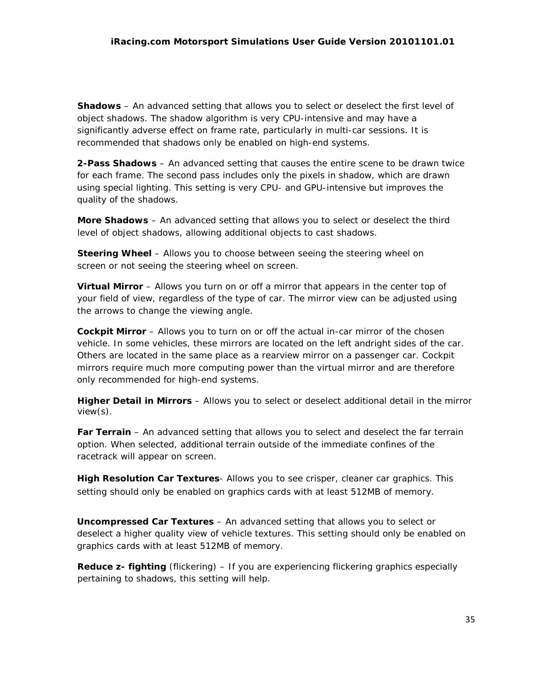**Shadows** – An advanced setting that allows you to select or deselect the first level of object shadows. The shadow algorithm is very CPU-intensive and may have a significantly adverse effect on frame rate, particularly in multi-car sessions. It is recommended that shadows only be enabled on high-end systems.

**2-Pass Shadows** – An advanced setting that causes the entire scene to be drawn twice for each frame. The second pass includes only the pixels in shadow, which are drawn using special lighting. This setting is very CPU- and GPU-intensive but improves the quality of the shadows.

**More Shadows** – An advanced setting that allows you to select or deselect the third level of object shadows, allowing additional objects to cast shadows.

**Steering Wheel** – Allows you to choose between seeing the steering wheel on screen or not seeing the steering wheel on screen.

**Virtual Mirror** – Allows you turn on or off a mirror that appears in the center top of your field of view, regardless of the type of car. The mirror view can be adjusted using the arrows to change the viewing angle.

**Cockpit Mirror** – Allows you to turn on or off the actual in-car mirror of the chosen vehicle. In some vehicles, these mirrors are located on the left andright sides of the car. Others are located in the same place as a rearview mirror on a passenger car. Cockpit mirrors require much more computing power than the virtual mirror and are therefore only recommended for high-end systems.

**Higher Detail in Mirrors** – Allows you to select or deselect additional detail in the mirror view(s).

**Far Terrain** – An advanced setting that allows you to select and deselect the far terrain option. When selected, additional terrain outside of the immediate confines of the racetrack will appear on screen.

**High Resolution Car Textures**- Allows you to see crisper, cleaner car graphics. This setting should only be enabled on graphics cards with at least 512MB of memory.

**Uncompressed Car Textures** – An advanced setting that allows you to select or deselect a higher quality view of vehicle textures. This setting should only be enabled on graphics cards with at least 512MB of memory.

**Reduce z- fighting** (flickering) – If you are experiencing flickering graphics especially pertaining to shadows, this setting will help.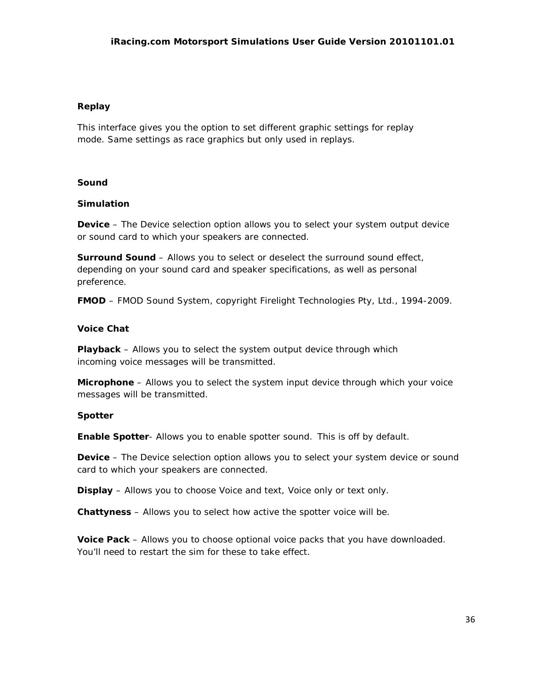## **Replay**

This interface gives you the option to set different graphic settings for replay mode. Same settings as race graphics but only used in replays.

## **Sound**

## **Simulation**

**Device** – The Device selection option allows you to select your system output device or sound card to which your speakers are connected.

**Surround Sound** – Allows you to select or deselect the surround sound effect, depending on your sound card and speaker specifications, as well as personal preference.

**FMOD** – FMOD Sound System, copyright Firelight Technologies Pty, Ltd., 1994-2009.

## **Voice Chat**

**Playback** – Allows you to select the system output device through which incoming voice messages will be transmitted.

**Microphone** – Allows you to select the system input device through which your voice messages will be transmitted.

# **Spotter**

**Enable Spotter**- Allows you to enable spotter sound. This is off by default.

**Device** – The Device selection option allows you to select your system device or sound card to which your speakers are connected.

**Display** – Allows you to choose Voice and text, Voice only or text only.

**Chattyness** – Allows you to select how active the spotter voice will be.

**Voice Pack** – Allows you to choose optional voice packs that you have downloaded. You'll need to restart the sim for these to take effect.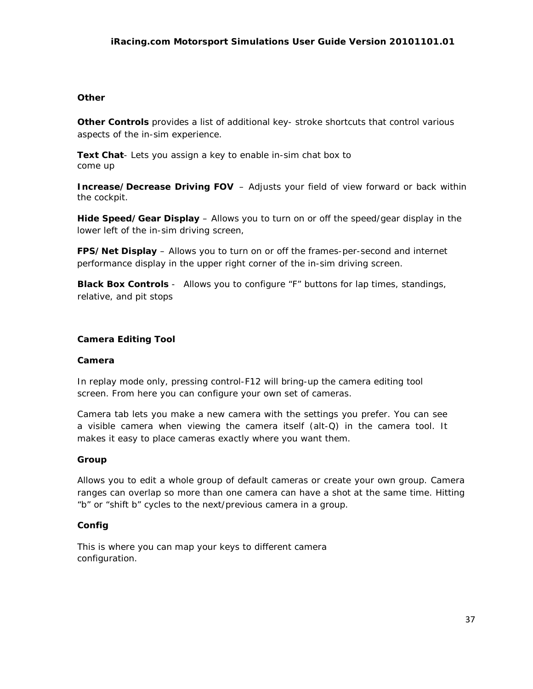## **Other**

**Other Controls** provides a list of additional key- stroke shortcuts that control various aspects of the in-sim experience.

**Text Chat**- Lets you assign a key to enable in-sim chat box to come up

**Increase/Decrease Driving FOV** – Adjusts your field of view forward or back within the cockpit.

**Hide Speed/Gear Display** – Allows you to turn on or off the speed/gear display in the lower left of the in-sim driving screen,

**FPS/Net Display** – Allows you to turn on or off the frames-per-second and internet performance display in the upper right corner of the in-sim driving screen.

**Black Box Controls** - Allows you to configure "F" buttons for lap times, standings, relative, and pit stops

## **Camera Editing Tool**

## **Camera**

In replay mode only, pressing control-F12 will bring-up the camera editing tool screen. From here you can configure your own set of cameras.

Camera tab lets you make a new camera with the settings you prefer. You can see a visible camera when viewing the camera itself (alt-Q) in the camera tool. It makes it easy to place cameras exactly where you want them.

## **Group**

Allows you to edit a whole group of default cameras or create your own group. Camera ranges can overlap so more than one camera can have a shot at the same time. Hitting "b" or "shift b" cycles to the next/previous camera in a group.

## **Config**

This is where you can map your keys to different camera configuration.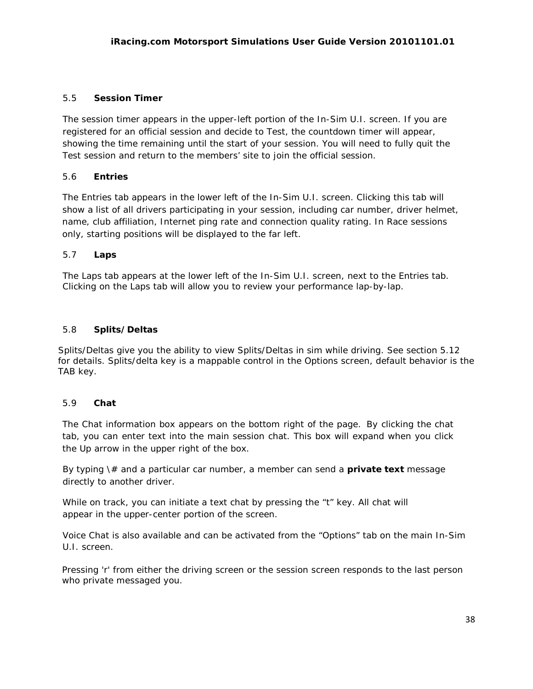## 5.5 **Session Timer**

The session timer appears in the upper-left portion of the In-Sim U.I. screen. If you are registered for an official session and decide to Test, the countdown timer will appear, showing the time remaining until the start of your session. You will need to fully quit the Test session and return to the members' site to join the official session.

## 5.6 **Entries**

The Entries tab appears in the lower left of the In-Sim U.I. screen. Clicking this tab will show a list of all drivers participating in your session, including car number, driver helmet, name, club affiliation, Internet ping rate and connection quality rating. In Race sessions only, starting positions will be displayed to the far left.

## 5.7 **Laps**

The Laps tab appears at the lower left of the In-Sim U.I. screen, next to the Entries tab. Clicking on the Laps tab will allow you to review your performance lap-by-lap.

## 5.8 **Splits/Deltas**

Splits/Deltas give you the ability to view Splits/Deltas in sim while driving. See section 5.12 for details. Splits/delta key is a mappable control in the Options screen, default behavior is the TAB key.

## 5.9 **Chat**

The Chat information box appears on the bottom right of the page. By clicking the chat tab, you can enter text into the main session chat. This box will expand when you click the Up arrow in the upper right of the box.

By typing \# and a particular car number, a member can send a **private text** message directly to another driver.

While on track, you can initiate a text chat by pressing the "t" key. All chat will appear in the upper-center portion of the screen.

Voice Chat is also available and can be activated from the "Options" tab on the main In-Sim U.I. screen.

Pressing 'r' from either the driving screen or the session screen responds to the last person who private messaged you.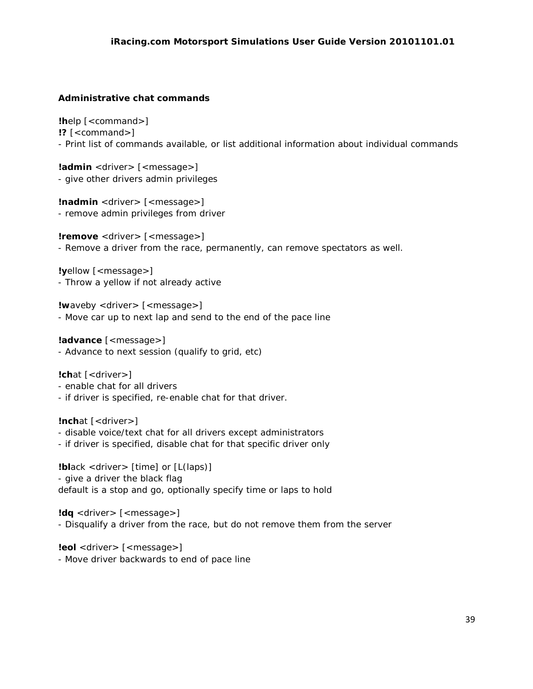## **Administrative chat commands**

**!h**elp [*<command>*] **!?** [*<command>*] - Print list of commands available, or list additional information about individual commands

**!admin** *<driver>* [*<message>*] - give other drivers admin privileges

**!nadmin** *<driver>* [*<message>*] - remove admin privileges from driver

**!remove** *<driver>* [*<message>*] - Remove a driver from the race, permanently, can remove spectators as well.

**!y**ellow [*<message>*] - Throw a yellow if not already active

**!w**aveby *<driver>* [*<message>*] - Move car up to next lap and send to the end of the pace line

**!advance** [*<message>*] - Advance to next session (qualify to grid, etc)

**!ch**at [*<driver>*]

- enable chat for all drivers
- if driver is specified, re-enable chat for that driver.

**!nch**at [*<driver>*]

- disable voice/text chat for all drivers except administrators
- if driver is specified, disable chat for that specific driver only

**!bl**ack *<driver>* [time] or [L(laps)] - give a driver the black flag default is a stop and go, optionally specify time or laps to hold

**!dq** *<driver>* [*<message>*] - Disqualify a driver from the race, but do not remove them from the server

**!eol** *<driver>* [*<message>*] - Move driver backwards to end of pace line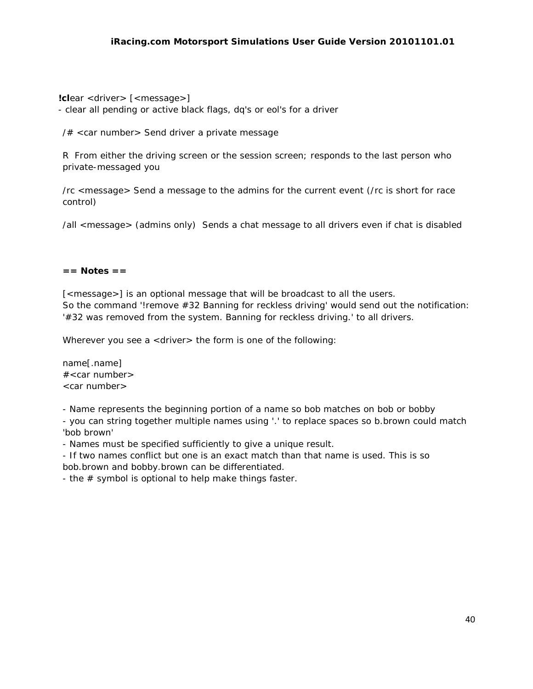**!cl**ear *<driver>* [*<message>*] - clear all pending or active black flags, dq's or eol's for a driver

/# <car number> Send driver a private message

R From either the driving screen or the session screen; responds to the last person who private-messaged you

/rc <message> Send a message to the admins for the current event (/rc is short for race control)

/all <message> (admins only) Sends a chat message to all drivers even if chat is disabled

#### **== Notes ==**

[<*message>*] is an optional message that will be broadcast to all the users. So the command '!remove #32 Banning for reckless driving' would send out the notification: '#32 was removed from the system. Banning for reckless driving.' to all drivers.

Wherever you see a *<driver>* the form is one of the following:

name[.name]  $#$ <car number> <car number>

- Name represents the beginning portion of a name so bob matches on bob or bobby

- you can string together multiple names using '.' to replace spaces so b.brown could match 'bob brown'

- Names must be specified sufficiently to give a unique result.

- If two names conflict but one is an exact match than that name is used. This is so bob.brown and bobby.brown can be differentiated.

- the  $#$  symbol is optional to help make things faster.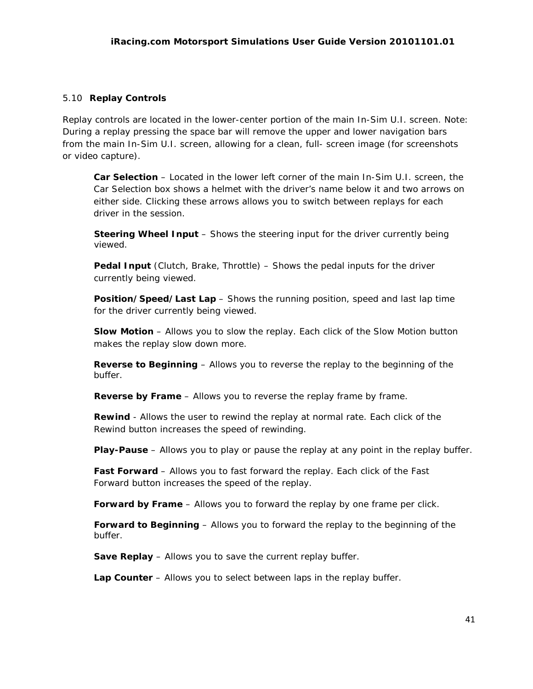## 5.10 **Replay Controls**

Replay controls are located in the lower-center portion of the main In-Sim U.I. screen. Note: During a replay pressing the space bar will remove the upper and lower navigation bars from the main In-Sim U.I. screen, allowing for a clean, full- screen image (for screenshots or video capture).

**Car Selection** – Located in the lower left corner of the main In-Sim U.I. screen, the Car Selection box shows a helmet with the driver's name below it and two arrows on either side. Clicking these arrows allows you to switch between replays for each driver in the session.

**Steering Wheel Input** – Shows the steering input for the driver currently being viewed.

**Pedal Input** (Clutch, Brake, Throttle) – Shows the pedal inputs for the driver currently being viewed.

**Position/Speed/Last Lap** – Shows the running position, speed and last lap time for the driver currently being viewed.

**Slow Motion** – Allows you to slow the replay. Each click of the Slow Motion button makes the replay slow down more.

**Reverse to Beginning** – Allows you to reverse the replay to the beginning of the buffer.

**Reverse by Frame** - Allows you to reverse the replay frame by frame.

**Rewind** - Allows the user to rewind the replay at normal rate. Each click of the Rewind button increases the speed of rewinding.

**Play-Pause** – Allows you to play or pause the replay at any point in the replay buffer.

**Fast Forward** – Allows you to fast forward the replay. Each click of the Fast Forward button increases the speed of the replay.

**Forward by Frame** – Allows you to forward the replay by one frame per click.

**Forward to Beginning** – Allows you to forward the replay to the beginning of the buffer.

**Save Replay** – Allows you to save the current replay buffer.

**Lap Counter** – Allows you to select between laps in the replay buffer.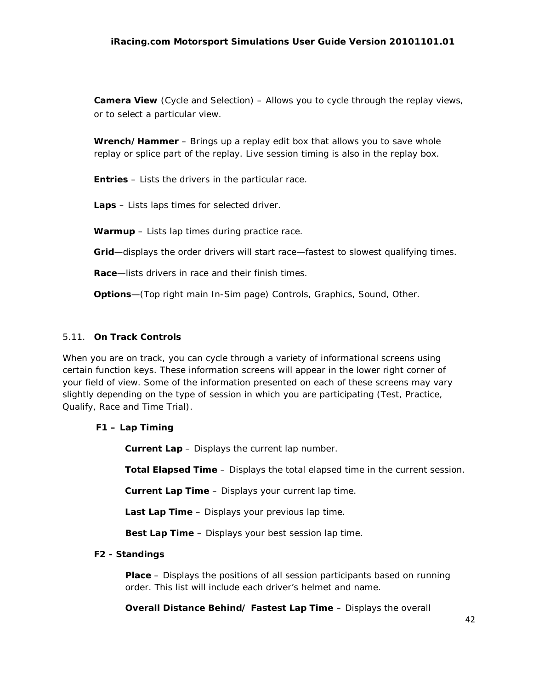## *iRacing.com Motorsport Simulations User Guide Version 20101101.01*

**Camera View** (Cycle and Selection) – Allows you to cycle through the replay views, or to select a particular view.

**Wrench/Hammer** – Brings up a replay edit box that allows you to save whole replay or splice part of the replay. Live session timing is also in the replay box.

**Entries** – Lists the drivers in the particular race.

**Laps** – Lists laps times for selected driver.

**Warmup** – Lists lap times during practice race.

**Grid**—displays the order drivers will start race—fastest to slowest qualifying times.

**Race**—lists drivers in race and their finish times.

**Options**—(Top right main In-Sim page) Controls, Graphics, Sound, Other.

## 5.11. **On Track Controls**

When you are on track, you can cycle through a variety of informational screens using certain function keys. These information screens will appear in the lower right corner of your field of view. Some of the information presented on each of these screens may vary slightly depending on the type of session in which you are participating (Test, Practice, Qualify, Race and Time Trial).

## **F1 – Lap Timing**

**Current Lap** – Displays the current lap number.

**Total Elapsed Time** – Displays the total elapsed time in the current session.

**Current Lap Time** – Displays your current lap time.

**Last Lap Time** – Displays your previous lap time.

**Best Lap Time** – Displays your best session lap time.

## **F2 - Standings**

**Place** – Displays the positions of all session participants based on running order. This list will include each driver's helmet and name.

**Overall Distance Behind/ Fastest Lap Time** – Displays the overall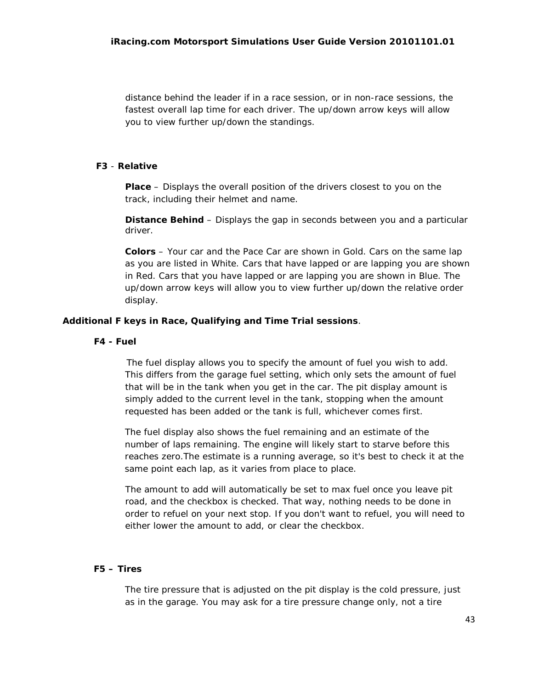distance behind the leader if in a race session, or in non-race sessions, the fastest overall lap time for each driver. The up/down arrow keys will allow you to view further up/down the standings.

## **F3** - **Relative**

**Place** – Displays the overall position of the drivers closest to you on the track, including their helmet and name.

**Distance Behind** – Displays the gap in seconds between you and a particular driver.

**Colors** – Your car and the Pace Car are shown in Gold. Cars on the same lap as you are listed in White. Cars that have lapped or are lapping you are shown in Red. Cars that you have lapped or are lapping you are shown in Blue. The up/down arrow keys will allow you to view further up/down the relative order display.

## **Additional F keys in Race, Qualifying and Time Trial sessions**.

#### **F4 - Fuel**

The fuel display allows you to specify the amount of fuel you wish to add. This differs from the garage fuel setting, which only sets the amount of fuel that will be in the tank when you get in the car. The pit display amount is simply added to the current level in the tank, stopping when the amount requested has been added or the tank is full, whichever comes first.

The fuel display also shows the fuel remaining and an estimate of the number of laps remaining. The engine will likely start to starve before this reaches zero.The estimate is a running average, so it's best to check it at the same point each lap, as it varies from place to place.

The amount to add will automatically be set to max fuel once you leave pit road, and the checkbox is checked. That way, nothing needs to be done in order to refuel on your next stop. If you don't want to refuel, you will need to either lower the amount to add, or clear the checkbox.

#### **F5 – Tires**

The tire pressure that is adjusted on the pit display is the cold pressure, just as in the garage. You may ask for a tire pressure change only, not a tire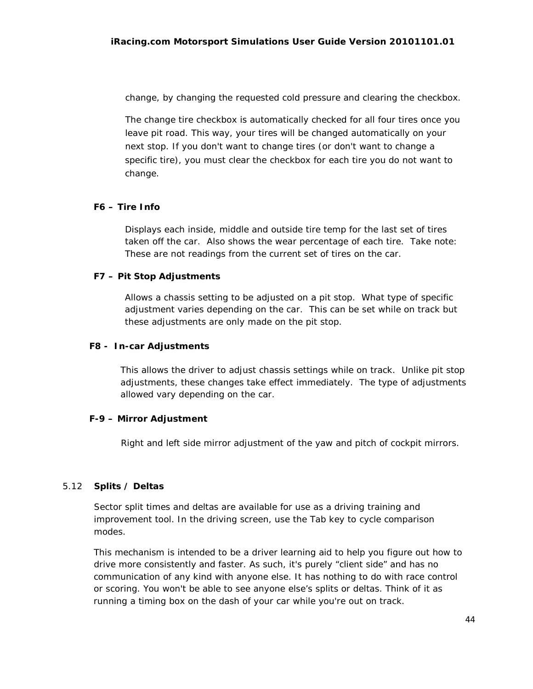change, by changing the requested cold pressure and clearing the checkbox.

The change tire checkbox is automatically checked for all four tires once you leave pit road. This way, your tires will be changed automatically on your next stop. If you don't want to change tires (or don't want to change a specific tire), you must clear the checkbox for each tire you do not want to change.

## **F6 – Tire Info**

Displays each inside, middle and outside tire temp for the last set of tires taken off the car. Also shows the wear percentage of each tire. Take note: These are not readings from the current set of tires on the car.

## **F7 – Pit Stop Adjustments**

Allows a chassis setting to be adjusted on a pit stop. What type of specific adjustment varies depending on the car. This can be set while on track but these adjustments are only made on the pit stop.

## **F8 - In-car Adjustments**

This allows the driver to adjust chassis settings while on track. Unlike pit stop adjustments, these changes take effect immediately. The type of adjustments allowed vary depending on the car.

## **F-9 – Mirror Adjustment**

Right and left side mirror adjustment of the yaw and pitch of cockpit mirrors.

## 5.12 **Splits / Deltas**

Sector split times and deltas are available for use as a driving training and improvement tool. In the driving screen, use the Tab key to cycle comparison modes.

This mechanism is intended to be a driver learning aid to help you figure out how to drive more consistently and faster. As such, it's purely "client side" and has no communication of any kind with anyone else. It has nothing to do with race control or scoring. You won't be able to see anyone else's splits or deltas. Think of it as running a timing box on the dash of your car while you're out on track.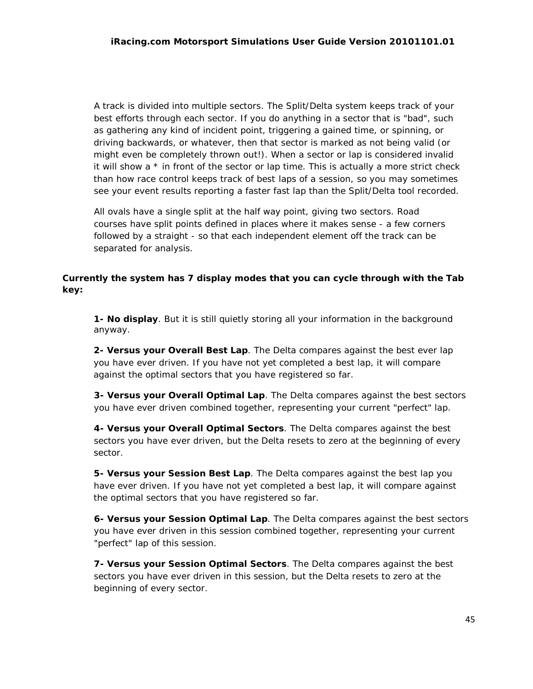A track is divided into multiple sectors. The Split/Delta system keeps track of your best efforts through each sector. If you do anything in a sector that is "bad", such as gathering any kind of incident point, triggering a gained time, or spinning, or driving backwards, or whatever, then that sector is marked as not being valid (or might even be completely thrown out!). When a sector or lap is considered invalid it will show a  $*$  in front of the sector or lap time. This is actually a more strict check than how race control keeps track of best laps of a session, so you may sometimes see your event results reporting a faster fast lap than the Split/Delta tool recorded.

All ovals have a single split at the half way point, giving two sectors. Road courses have split points defined in places where it makes sense - a few corners followed by a straight - so that each independent element off the track can be separated for analysis.

# *Currently the system has 7 display modes that you can cycle through with the Tab key:*

**1- No display**. But it is still quietly storing all your information in the background anyway.

**2- Versus your Overall Best Lap**. The Delta compares against the best ever lap you have ever driven. If you have not yet completed a best lap, it will compare against the optimal sectors that you have registered so far.

**3- Versus your Overall Optimal Lap**. The Delta compares against the best sectors you have ever driven combined together, representing your current "perfect" lap.

**4- Versus your Overall Optimal Sectors**. The Delta compares against the best sectors you have ever driven, but the Delta resets to zero at the beginning of every sector.

**5- Versus your Session Best Lap**. The Delta compares against the best lap you have ever driven. If you have not yet completed a best lap, it will compare against the optimal sectors that you have registered so far.

**6- Versus your Session Optimal Lap**. The Delta compares against the best sectors you have ever driven in this session combined together, representing your current "perfect" lap of this session.

**7- Versus your Session Optimal Sectors**. The Delta compares against the best sectors you have ever driven in this session, but the Delta resets to zero at the beginning of every sector.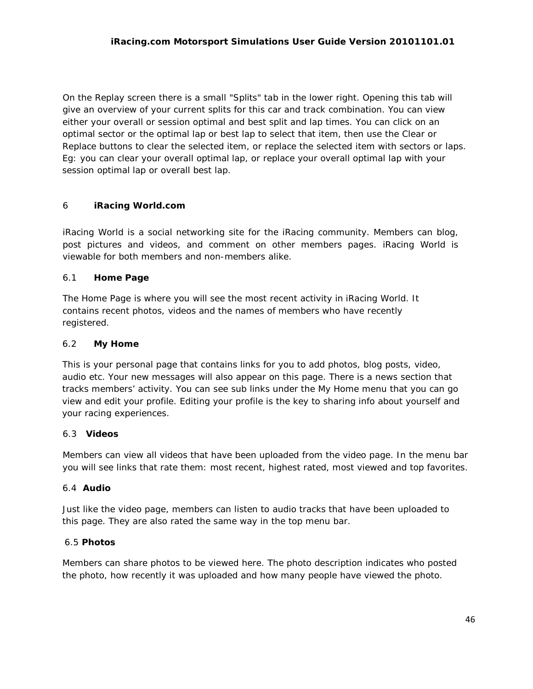On the Replay screen there is a small "Splits" tab in the lower right. Opening this tab will give an overview of your current splits for this car and track combination. You can view either your overall or session optimal and best split and lap times. You can click on an optimal sector or the optimal lap or best lap to select that item, then use the Clear or Replace buttons to clear the selected item, or replace the selected item with sectors or laps. Eg: you can clear your overall optimal lap, or replace your overall optimal lap with your session optimal lap or overall best lap.

# 6 **iRacing World.com**

iRacing World is a social networking site for the iRacing community. Members can blog, post pictures and videos, and comment on other members pages. iRacing World is viewable for both members and non-members alike.

# 6.1 **Home Page**

The Home Page is where you will see the most recent activity in iRacing World. It contains recent photos, videos and the names of members who have recently registered.

## 6.2 **My Home**

This is your personal page that contains links for you to add photos, blog posts, video, audio etc. Your new messages will also appear on this page. There is a news section that tracks members' activity. You can see sub links under the My Home menu that you can go view and edit your profile. Editing your profile is the key to sharing info about yourself and your racing experiences.

## 6.3 **Videos**

Members can view all videos that have been uploaded from the video page. In the menu bar you will see links that rate them: most recent, highest rated, most viewed and top favorites.

## 6.4 **Audio**

Just like the video page, members can listen to audio tracks that have been uploaded to this page. They are also rated the same way in the top menu bar.

# 6.5 **Photos**

Members can share photos to be viewed here. The photo description indicates who posted the photo, how recently it was uploaded and how many people have viewed the photo.